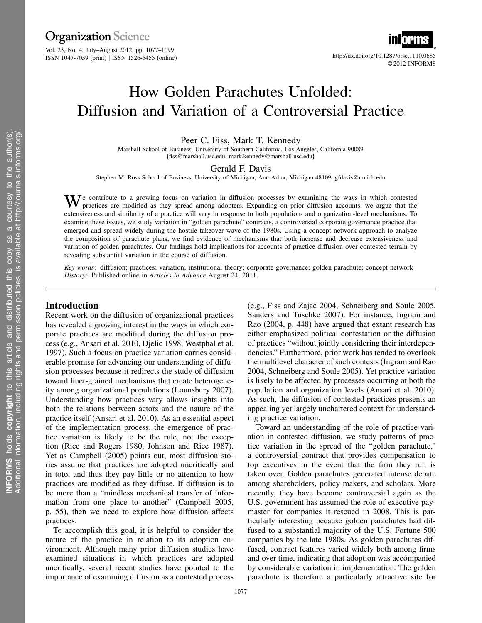**Vol. 23, No. 4, July–August 2012, pp. 1077–1099** ISSN 1047-7039 (print) | ISSN 1526-5455 (online) http://dx.doi.org/10.1287/orsc.1110.0685

© 2012 INFORMS

# How Golden Parachutes Unfolded: Diffusion and Variation of a Controversial Practice

Peer C. Fiss, Mark T. Kennedy

Marshall School of Business, University of Southern California, Los Angeles, California 90089 {fiss@marshall.usc.edu, mark.kennedy@marshall.usc.edu}

Gerald F. Davis

Stephen M. Ross School of Business, University of Michigan, Ann Arbor, Michigan 48109, gfdavis@umich.edu

We contribute to a growing focus on variation in diffusion processes by examining the ways in which contested practices are modified as they spread among adopters. Expanding on prior diffusion accounts, we argue that the extensiveness and similarity of a practice will vary in response to both population- and organization-level mechanisms. To examine these issues, we study variation in "golden parachute" contracts, a controversial corporate governance practice that emerged and spread widely during the hostile takeover wave of the 1980s. Using a concept network approach to analyze the composition of parachute plans, we find evidence of mechanisms that both increase and decrease extensiveness and variation of golden parachutes. Our findings hold implications for accounts of practice diffusion over contested terrain by revealing substantial variation in the course of diffusion.

Key words: diffusion; practices; variation; institutional theory; corporate governance; golden parachute; concept network History: Published online in Articles in Advance August 24, 2011.

# Introduction

Recent work on the diffusion of organizational practices has revealed a growing interest in the ways in which corporate practices are modified during the diffusion process (e.g., Ansari et al. 2010, Djelic 1998, Westphal et al. 1997). Such a focus on practice variation carries considerable promise for advancing our understanding of diffusion processes because it redirects the study of diffusion toward finer-grained mechanisms that create heterogeneity among organizational populations (Lounsbury 2007). Understanding how practices vary allows insights into both the relations between actors and the nature of the practice itself (Ansari et al. 2010). As an essential aspect of the implementation process, the emergence of practice variation is likely to be the rule, not the exception (Rice and Rogers 1980, Johnson and Rice 1987). Yet as Campbell (2005) points out, most diffusion stories assume that practices are adopted uncritically and in toto, and thus they pay little or no attention to how practices are modified as they diffuse. If diffusion is to be more than a "mindless mechanical transfer of information from one place to another" (Campbell 2005, p. 55), then we need to explore how diffusion affects practices.

To accomplish this goal, it is helpful to consider the nature of the practice in relation to its adoption environment. Although many prior diffusion studies have examined situations in which practices are adopted uncritically, several recent studies have pointed to the importance of examining diffusion as a contested process (e.g., Fiss and Zajac 2004, Schneiberg and Soule 2005, Sanders and Tuschke 2007). For instance, Ingram and Rao (2004, p. 448) have argued that extant research has either emphasized political contestation or the diffusion of practices "without jointly considering their interdependencies." Furthermore, prior work has tended to overlook the multilevel character of such contests (Ingram and Rao 2004, Schneiberg and Soule 2005). Yet practice variation is likely to be affected by processes occurring at both the population and organization levels (Ansari et al. 2010). As such, the diffusion of contested practices presents an appealing yet largely unchartered context for understanding practice variation.

Toward an understanding of the role of practice variation in contested diffusion, we study patterns of practice variation in the spread of the "golden parachute," a controversial contract that provides compensation to top executives in the event that the firm they run is taken over. Golden parachutes generated intense debate among shareholders, policy makers, and scholars. More recently, they have become controversial again as the U.S. government has assumed the role of executive paymaster for companies it rescued in 2008. This is particularly interesting because golden parachutes had diffused to a substantial majority of the U.S. Fortune 500 companies by the late 1980s. As golden parachutes diffused, contract features varied widely both among firms and over time, indicating that adoption was accompanied by considerable variation in implementation. The golden parachute is therefore a particularly attractive site for

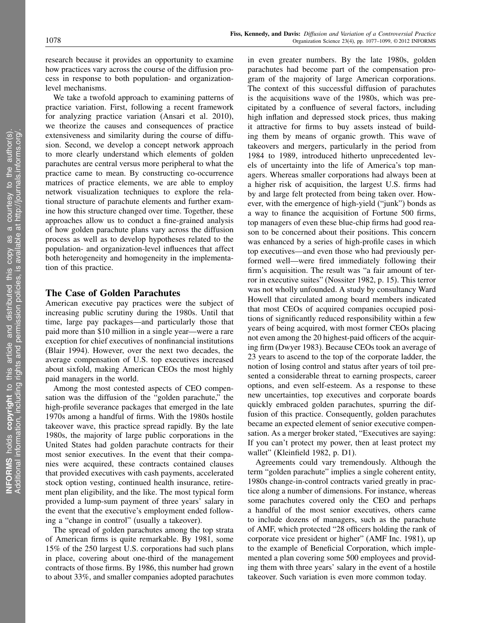research because it provides an opportunity to examine how practices vary across the course of the diffusion process in response to both population- and organizationlevel mechanisms.

We take a twofold approach to examining patterns of practice variation. First, following a recent framework for analyzing practice variation (Ansari et al. 2010), we theorize the causes and consequences of practice extensiveness and similarity during the course of diffusion. Second, we develop a concept network approach to more clearly understand which elements of golden parachutes are central versus more peripheral to what the practice came to mean. By constructing co-occurrence matrices of practice elements, we are able to employ network visualization techniques to explore the relational structure of parachute elements and further examine how this structure changed over time. Together, these approaches allow us to conduct a fine-grained analysis of how golden parachute plans vary across the diffusion process as well as to develop hypotheses related to the population- and organization-level influences that affect both heterogeneity and homogeneity in the implementation of this practice.

# The Case of Golden Parachutes

American executive pay practices were the subject of increasing public scrutiny during the 1980s. Until that time, large pay packages—and particularly those that paid more than \$10 million in a single year—were a rare exception for chief executives of nonfinancial institutions (Blair 1994). However, over the next two decades, the average compensation of U.S. top executives increased about sixfold, making American CEOs the most highly paid managers in the world.

Among the most contested aspects of CEO compensation was the diffusion of the "golden parachute," the high-profile severance packages that emerged in the late 1970s among a handful of firms. With the 1980s hostile takeover wave, this practice spread rapidly. By the late 1980s, the majority of large public corporations in the United States had golden parachute contracts for their most senior executives. In the event that their companies were acquired, these contracts contained clauses that provided executives with cash payments, accelerated stock option vesting, continued health insurance, retirement plan eligibility, and the like. The most typical form provided a lump-sum payment of three years' salary in the event that the executive's employment ended following a "change in control" (usually a takeover).

The spread of golden parachutes among the top strata of American firms is quite remarkable. By 1981, some 15% of the 250 largest U.S. corporations had such plans in place, covering about one-third of the management contracts of those firms. By 1986, this number had grown to about 33%, and smaller companies adopted parachutes in even greater numbers. By the late 1980s, golden parachutes had become part of the compensation program of the majority of large American corporations. The context of this successful diffusion of parachutes is the acquisitions wave of the 1980s, which was precipitated by a confluence of several factors, including high inflation and depressed stock prices, thus making it attractive for firms to buy assets instead of building them by means of organic growth. This wave of takeovers and mergers, particularly in the period from 1984 to 1989, introduced hitherto unprecedented levels of uncertainty into the life of America's top managers. Whereas smaller corporations had always been at a higher risk of acquisition, the largest U.S. firms had by and large felt protected from being taken over. However, with the emergence of high-yield ("junk") bonds as a way to finance the acquisition of Fortune 500 firms, top managers of even these blue-chip firms had good reason to be concerned about their positions. This concern was enhanced by a series of high-profile cases in which top executives—and even those who had previously performed well—were fired immediately following their firm's acquisition. The result was "a fair amount of terror in executive suites" (Nossiter 1982, p. 15). This terror was not wholly unfounded. A study by consultancy Ward Howell that circulated among board members indicated that most CEOs of acquired companies occupied positions of significantly reduced responsibility within a few years of being acquired, with most former CEOs placing not even among the 20 highest-paid officers of the acquiring firm (Dwyer 1983). Because CEOs took an average of 23 years to ascend to the top of the corporate ladder, the notion of losing control and status after years of toil presented a considerable threat to earning prospects, career options, and even self-esteem. As a response to these new uncertainties, top executives and corporate boards quickly embraced golden parachutes, spurring the diffusion of this practice. Consequently, golden parachutes became an expected element of senior executive compensation. As a merger broker stated, "Executives are saying: If you can't protect my power, then at least protect my wallet" (Kleinfield 1982, p. D1).

Agreements could vary tremendously. Although the term "golden parachute" implies a single coherent entity, 1980s change-in-control contracts varied greatly in practice along a number of dimensions. For instance, whereas some parachutes covered only the CEO and perhaps a handful of the most senior executives, others came to include dozens of managers, such as the parachute of AMF, which protected "28 officers holding the rank of corporate vice president or higher" (AMF Inc. 1981), up to the example of Beneficial Corporation, which implemented a plan covering some 500 employees and providing them with three years' salary in the event of a hostile takeover. Such variation is even more common today.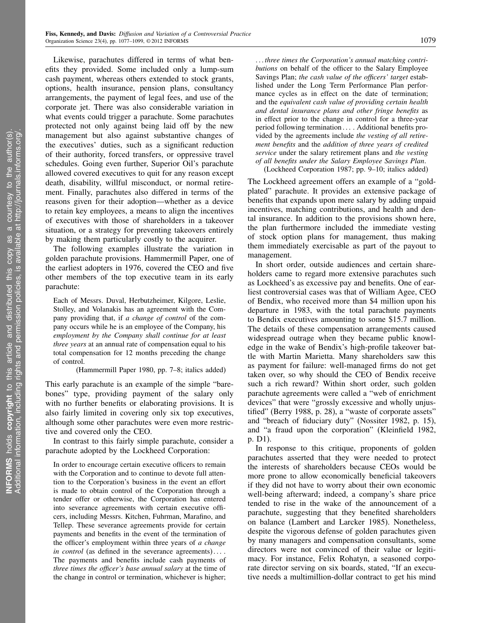Likewise, parachutes differed in terms of what benefits they provided. Some included only a lump-sum cash payment, whereas others extended to stock grants, options, health insurance, pension plans, consultancy arrangements, the payment of legal fees, and use of the corporate jet. There was also considerable variation in what events could trigger a parachute. Some parachutes protected not only against being laid off by the new management but also against substantive changes of the executives' duties, such as a significant reduction of their authority, forced transfers, or oppressive travel schedules. Going even further, Superior Oil's parachute allowed covered executives to quit for any reason except death, disability, willful misconduct, or normal retirement. Finally, parachutes also differed in terms of the reasons given for their adoption—whether as a device to retain key employees, a means to align the incentives of executives with those of shareholders in a takeover situation, or a strategy for preventing takeovers entirely by making them particularly costly to the acquirer.

The following examples illustrate the variation in golden parachute provisions. Hammermill Paper, one of the earliest adopters in 1976, covered the CEO and five other members of the top executive team in its early parachute:

Each of Messrs. Duval, Herbutzheimer, Kilgore, Leslie, Stolley, and Volanakis has an agreement with the Company providing that, if a change of control of the company occurs while he is an employee of the Company, his employment by the Company shall continue for at least three years at an annual rate of compensation equal to his total compensation for 12 months preceding the change of control.

(Hammermill Paper 1980, pp. 7–8; italics added)

This early parachute is an example of the simple "barebones" type, providing payment of the salary only with no further benefits or elaborating provisions. It is also fairly limited in covering only six top executives, although some other parachutes were even more restrictive and covered only the CEO.

In contrast to this fairly simple parachute, consider a parachute adopted by the Lockheed Corporation:

In order to encourage certain executive officers to remain with the Corporation and to continue to devote full attention to the Corporation's business in the event an effort is made to obtain control of the Corporation through a tender offer or otherwise, the Corporation has entered into severance agreements with certain executive officers, including Messrs. Kitchen, Fuhrman, Marafino, and Tellep. These severance agreements provide for certain payments and benefits in the event of the termination of the officer's employment within three years of  $a$  change *in control* (as defined in the severance agreements).... The payments and benefits include cash payments of three times the officer's base annual salary at the time of the change in control or termination, whichever is higher;

...three times the Corporation's annual matching contributions on behalf of the officer to the Salary Employee Savings Plan; the cash value of the officers' target established under the Long Term Performance Plan performance cycles as in effect on the date of termination; and the equivalent cash value of providing certain health and dental insurance plans and other fringe benefits as in effect prior to the change in control for a three-year period following termination  $\dots$ . Additional benefits provided by the agreements include the vesting of all retirement benefits and the addition of three years of credited service under the salary retirement plans and the vesting of all benefits under the Salary Employee Savings Plan. (Lockheed Corporation 1987; pp. 9–10; italics added)

The Lockheed agreement offers an example of a "goldplated" parachute. It provides an extensive package of benefits that expands upon mere salary by adding unpaid incentives, matching contributions, and health and dental insurance. In addition to the provisions shown here, the plan furthermore included the immediate vesting of stock option plans for management, thus making them immediately exercisable as part of the payout to management.

In short order, outside audiences and certain shareholders came to regard more extensive parachutes such as Lockheed's as excessive pay and benefits. One of earliest controversial cases was that of William Agee, CEO of Bendix, who received more than \$4 million upon his departure in 1983, with the total parachute payments to Bendix executives amounting to some \$15.7 million. The details of these compensation arrangements caused widespread outrage when they became public knowledge in the wake of Bendix's high-profile takeover battle with Martin Marietta. Many shareholders saw this as payment for failure: well-managed firms do not get taken over, so why should the CEO of Bendix receive such a rich reward? Within short order, such golden parachute agreements were called a "web of enrichment devices" that were "grossly excessive and wholly unjustified" (Berry 1988, p. 28), a "waste of corporate assets" and "breach of fiduciary duty" (Nossiter 1982, p. 15), and "a fraud upon the corporation" (Kleinfield 1982, p. D1).

In response to this critique, proponents of golden parachutes asserted that they were needed to protect the interests of shareholders because CEOs would be more prone to allow economically beneficial takeovers if they did not have to worry about their own economic well-being afterward; indeed, a company's share price tended to rise in the wake of the announcement of a parachute, suggesting that they benefited shareholders on balance (Lambert and Larcker 1985). Nonetheless, despite the vigorous defense of golden parachutes given by many managers and compensation consultants, some directors were not convinced of their value or legitimacy. For instance, Felix Rohatyn, a seasoned corporate director serving on six boards, stated, "If an executive needs a multimillion-dollar contract to get his mind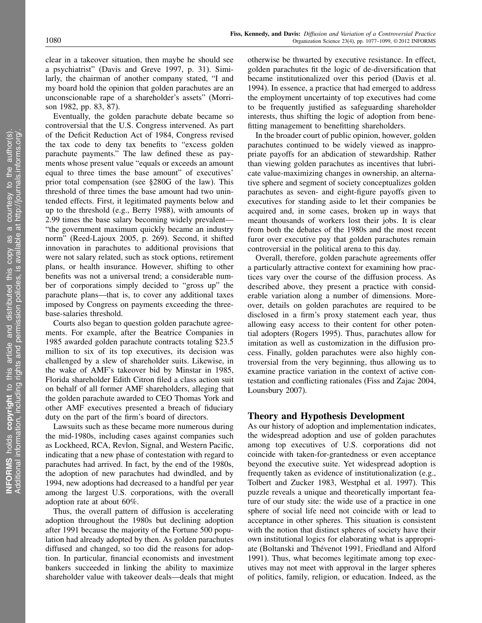clear in a takeover situation, then maybe he should see a psychiatrist" (Davis and Greve 1997, p. 31). Similarly, the chairman of another company stated, "I and my board hold the opinion that golden parachutes are an unconscionable rape of a shareholder's assets" (Morrison 1982, pp. 83, 87).

Eventually, the golden parachute debate became so controversial that the U.S. Congress intervened. As part of the Deficit Reduction Act of 1984, Congress revised the tax code to deny tax benefits to "excess golden parachute payments." The law defined these as payments whose present value "equals or exceeds an amount equal to three times the base amount" of executives' prior total compensation (see §280G of the law). This threshold of three times the base amount had two unintended effects. First, it legitimated payments below and up to the threshold (e.g., Berry 1988), with amounts of 2.99 times the base salary becoming widely prevalent— "the government maximum quickly became an industry norm" (Reed-Lajoux 2005, p. 269). Second, it shifted innovation in parachutes to additional provisions that were not salary related, such as stock options, retirement plans, or health insurance. However, shifting to other benefits was not a universal trend; a considerable number of corporations simply decided to "gross up" the parachute plans—that is, to cover any additional taxes imposed by Congress on payments exceeding the threebase-salaries threshold.

Courts also began to question golden parachute agreements. For example, after the Beatrice Companies in 1985 awarded golden parachute contracts totaling \$23.5 million to six of its top executives, its decision was challenged by a slew of shareholder suits. Likewise, in the wake of AMF's takeover bid by Minstar in 1985, Florida shareholder Edith Citron filed a class action suit on behalf of all former AMF shareholders, alleging that the golden parachute awarded to CEO Thomas York and other AMF executives presented a breach of fiduciary duty on the part of the firm's board of directors.

Lawsuits such as these became more numerous during the mid-1980s, including cases against companies such as Lockheed, RCA, Revlon, Signal, and Western Pacific, indicating that a new phase of contestation with regard to parachutes had arrived. In fact, by the end of the 1980s, the adoption of new parachutes had dwindled, and by 1994, new adoptions had decreased to a handful per year among the largest U.S. corporations, with the overall adoption rate at about 60%.

Thus, the overall pattern of diffusion is accelerating adoption throughout the 1980s but declining adoption after 1991 because the majority of the Fortune 500 population had already adopted by then. As golden parachutes diffused and changed, so too did the reasons for adoption. In particular, financial economists and investment bankers succeeded in linking the ability to maximize shareholder value with takeover deals—deals that might otherwise be thwarted by executive resistance. In effect, golden parachutes fit the logic of de-diversification that became institutionalized over this period (Davis et al. 1994). In essence, a practice that had emerged to address the employment uncertainty of top executives had come to be frequently justified as safeguarding shareholder interests, thus shifting the logic of adoption from benefitting management to benefitting shareholders.

In the broader court of public opinion, however, golden parachutes continued to be widely viewed as inappropriate payoffs for an abdication of stewardship. Rather than viewing golden parachutes as incentives that lubricate value-maximizing changes in ownership, an alternative sphere and segment of society conceptualizes golden parachutes as seven- and eight-figure payoffs given to executives for standing aside to let their companies be acquired and, in some cases, broken up in ways that meant thousands of workers lost their jobs. It is clear from both the debates of the 1980s and the most recent furor over executive pay that golden parachutes remain controversial in the political arena to this day.

Overall, therefore, golden parachute agreements offer a particularly attractive context for examining how practices vary over the course of the diffusion process. As described above, they present a practice with considerable variation along a number of dimensions. Moreover, details on golden parachutes are required to be disclosed in a firm's proxy statement each year, thus allowing easy access to their content for other potential adopters (Rogers 1995). Thus, parachutes allow for imitation as well as customization in the diffusion process. Finally, golden parachutes were also highly controversial from the very beginning, thus allowing us to examine practice variation in the context of active contestation and conflicting rationales (Fiss and Zajac 2004, Lounsbury 2007).

# Theory and Hypothesis Development

As our history of adoption and implementation indicates, the widespread adoption and use of golden parachutes among top executives of U.S. corporations did not coincide with taken-for-grantedness or even acceptance beyond the executive suite. Yet widespread adoption is frequently taken as evidence of institutionalization (e.g., Tolbert and Zucker 1983, Westphal et al. 1997). This puzzle reveals a unique and theoretically important feature of our study site: the wide use of a practice in one sphere of social life need not coincide with or lead to acceptance in other spheres. This situation is consistent with the notion that distinct spheres of society have their own institutional logics for elaborating what is appropriate (Boltanski and Thévenot 1991, Friedland and Alford 1991). Thus, what becomes legitimate among top executives may not meet with approval in the larger spheres of politics, family, religion, or education. Indeed, as the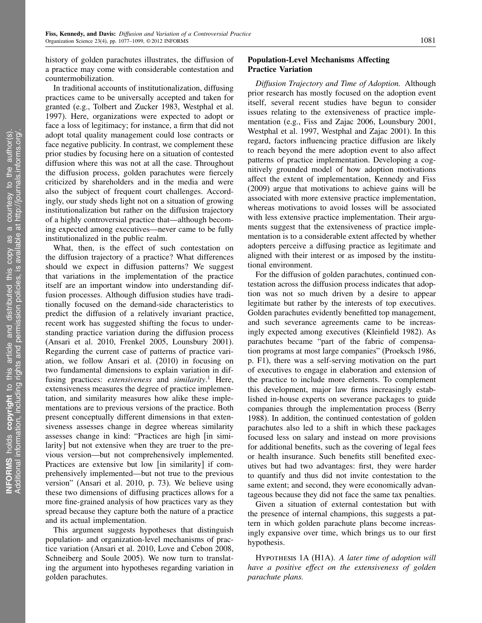history of golden parachutes illustrates, the diffusion of a practice may come with considerable contestation and countermobilization.

In traditional accounts of institutionalization, diffusing practices came to be universally accepted and taken for granted (e.g., Tolbert and Zucker 1983, Westphal et al. 1997). Here, organizations were expected to adopt or face a loss of legitimacy; for instance, a firm that did not adopt total quality management could lose contracts or face negative publicity. In contrast, we complement these prior studies by focusing here on a situation of contested diffusion where this was not at all the case. Throughout the diffusion process, golden parachutes were fiercely criticized by shareholders and in the media and were also the subject of frequent court challenges. Accordingly, our study sheds light not on a situation of growing institutionalization but rather on the diffusion trajectory of a highly controversial practice that—although becoming expected among executives—never came to be fully institutionalized in the public realm.

What, then, is the effect of such contestation on the diffusion trajectory of a practice? What differences should we expect in diffusion patterns? We suggest that variations in the implementation of the practice itself are an important window into understanding diffusion processes. Although diffusion studies have traditionally focused on the demand-side characteristics to predict the diffusion of a relatively invariant practice, recent work has suggested shifting the focus to understanding practice variation during the diffusion process (Ansari et al. 2010, Frenkel 2005, Lounsbury 2001). Regarding the current case of patterns of practice variation, we follow Ansari et al. (2010) in focusing on two fundamental dimensions to explain variation in diffusing practices: extensiveness and similarity.<sup>1</sup> Here, extensiveness measures the degree of practice implementation, and similarity measures how alike these implementations are to previous versions of the practice. Both present conceptually different dimensions in that extensiveness assesses change in degree whereas similarity assesses change in kind: "Practices are high [in similarity] but not extensive when they are truer to the previous version—but not comprehensively implemented. Practices are extensive but low [in similarity] if comprehensively implemented—but not true to the previous version" (Ansari et al. 2010, p. 73). We believe using these two dimensions of diffusing practices allows for a more fine-grained analysis of how practices vary as they spread because they capture both the nature of a practice and its actual implementation.

This argument suggests hypotheses that distinguish population- and organization-level mechanisms of practice variation (Ansari et al. 2010, Love and Cebon 2008, Schneiberg and Soule 2005). We now turn to translating the argument into hypotheses regarding variation in golden parachutes.

# Population-Level Mechanisms Affecting Practice Variation

Diffusion Trajectory and Time of Adoption. Although prior research has mostly focused on the adoption event itself, several recent studies have begun to consider issues relating to the extensiveness of practice implementation (e.g., Fiss and Zajac 2006, Lounsbury 2001, Westphal et al. 1997, Westphal and Zajac 2001). In this regard, factors influencing practice diffusion are likely to reach beyond the mere adoption event to also affect patterns of practice implementation. Developing a cognitively grounded model of how adoption motivations affect the extent of implementation, Kennedy and Fiss (2009) argue that motivations to achieve gains will be associated with more extensive practice implementation, whereas motivations to avoid losses will be associated with less extensive practice implementation. Their arguments suggest that the extensiveness of practice implementation is to a considerable extent affected by whether adopters perceive a diffusing practice as legitimate and aligned with their interest or as imposed by the institutional environment.

For the diffusion of golden parachutes, continued contestation across the diffusion process indicates that adoption was not so much driven by a desire to appear legitimate but rather by the interests of top executives. Golden parachutes evidently benefitted top management, and such severance agreements came to be increasingly expected among executives (Kleinfield 1982). As parachutes became "part of the fabric of compensation programs at most large companies" (Proeksch 1986, p. F1), there was a self-serving motivation on the part of executives to engage in elaboration and extension of the practice to include more elements. To complement this development, major law firms increasingly established in-house experts on severance packages to guide companies through the implementation process (Berry 1988). In addition, the continued contestation of golden parachutes also led to a shift in which these packages focused less on salary and instead on more provisions for additional benefits, such as the covering of legal fees or health insurance. Such benefits still benefited executives but had two advantages: first, they were harder to quantify and thus did not invite contestation to the same extent; and second, they were economically advantageous because they did not face the same tax penalties.

Given a situation of external contestation but with the presence of internal champions, this suggests a pattern in which golden parachute plans become increasingly expansive over time, which brings us to our first hypothesis.

Hypothesis 1A (H1A). A later time of adoption will have a positive effect on the extensiveness of golden parachute plans.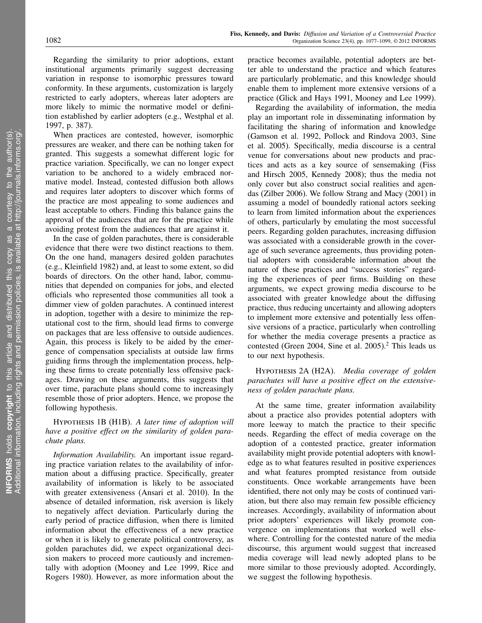Regarding the similarity to prior adoptions, extant institutional arguments primarily suggest decreasing variation in response to isomorphic pressures toward conformity. In these arguments, customization is largely restricted to early adopters, whereas later adopters are more likely to mimic the normative model or definition established by earlier adopters (e.g., Westphal et al. 1997, p. 387).

When practices are contested, however, isomorphic pressures are weaker, and there can be nothing taken for granted. This suggests a somewhat different logic for practice variation. Specifically, we can no longer expect variation to be anchored to a widely embraced normative model. Instead, contested diffusion both allows and requires later adopters to discover which forms of the practice are most appealing to some audiences and least acceptable to others. Finding this balance gains the approval of the audiences that are for the practice while avoiding protest from the audiences that are against it.

In the case of golden parachutes, there is considerable evidence that there were two distinct reactions to them. On the one hand, managers desired golden parachutes (e.g., Kleinfield 1982) and, at least to some extent, so did boards of directors. On the other hand, labor, communities that depended on companies for jobs, and elected officials who represented those communities all took a dimmer view of golden parachutes. A continued interest in adoption, together with a desire to minimize the reputational cost to the firm, should lead firms to converge on packages that are less offensive to outside audiences. Again, this process is likely to be aided by the emergence of compensation specialists at outside law firms guiding firms through the implementation process, helping these firms to create potentially less offensive packages. Drawing on these arguments, this suggests that over time, parachute plans should come to increasingly resemble those of prior adopters. Hence, we propose the following hypothesis.

# HYPOTHESIS 1B (H1B). A later time of adoption will have a positive effect on the similarity of golden parachute plans.

Information Availability. An important issue regarding practice variation relates to the availability of information about a diffusing practice. Specifically, greater availability of information is likely to be associated with greater extensiveness (Ansari et al. 2010). In the absence of detailed information, risk aversion is likely to negatively affect deviation. Particularly during the early period of practice diffusion, when there is limited information about the effectiveness of a new practice or when it is likely to generate political controversy, as golden parachutes did, we expect organizational decision makers to proceed more cautiously and incrementally with adoption (Mooney and Lee 1999, Rice and Rogers 1980). However, as more information about the practice becomes available, potential adopters are better able to understand the practice and which features are particularly problematic, and this knowledge should enable them to implement more extensive versions of a practice (Glick and Hays 1991, Mooney and Lee 1999).

Regarding the availability of information, the media play an important role in disseminating information by facilitating the sharing of information and knowledge (Gamson et al. 1992, Pollock and Rindova 2003, Sine et al. 2005). Specifically, media discourse is a central venue for conversations about new products and practices and acts as a key source of sensemaking (Fiss and Hirsch 2005, Kennedy 2008); thus the media not only cover but also construct social realities and agendas (Zilber 2006). We follow Strang and Macy (2001) in assuming a model of boundedly rational actors seeking to learn from limited information about the experiences of others, particularly by emulating the most successful peers. Regarding golden parachutes, increasing diffusion was associated with a considerable growth in the coverage of such severance agreements, thus providing potential adopters with considerable information about the nature of these practices and "success stories" regarding the experiences of peer firms. Building on these arguments, we expect growing media discourse to be associated with greater knowledge about the diffusing practice, thus reducing uncertainty and allowing adopters to implement more extensive and potentially less offensive versions of a practice, particularly when controlling for whether the media coverage presents a practice as contested (Green 2004, Sine et al.  $2005$ ).<sup>2</sup> This leads us to our next hypothesis.

# Hypothesis 2A (H2A). Media coverage of golden parachutes will have a positive effect on the extensiveness of golden parachute plans.

At the same time, greater information availability about a practice also provides potential adopters with more leeway to match the practice to their specific needs. Regarding the effect of media coverage on the adoption of a contested practice, greater information availability might provide potential adopters with knowledge as to what features resulted in positive experiences and what features prompted resistance from outside constituents. Once workable arrangements have been identified, there not only may be costs of continued variation, but there also may remain few possible efficiency increases. Accordingly, availability of information about prior adopters' experiences will likely promote convergence on implementations that worked well elsewhere. Controlling for the contested nature of the media discourse, this argument would suggest that increased media coverage will lead newly adopted plans to be more similar to those previously adopted. Accordingly, we suggest the following hypothesis.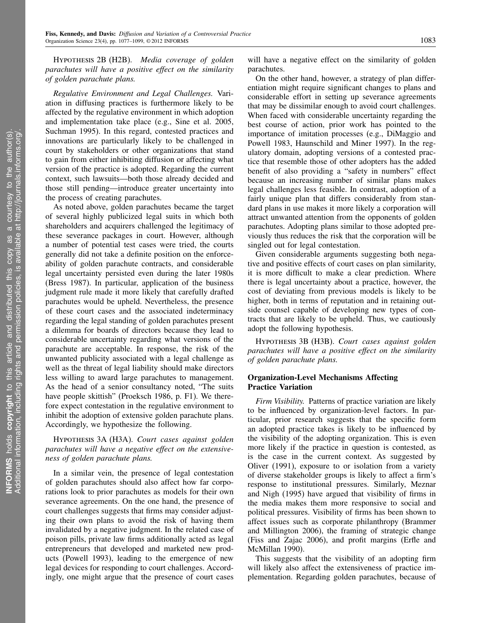Hypothesis 2B (H2B). Media coverage of golden parachutes will have a positive effect on the similarity of golden parachute plans.

Regulative Environment and Legal Challenges. Variation in diffusing practices is furthermore likely to be affected by the regulative environment in which adoption and implementation take place (e.g., Sine et al. 2005, Suchman 1995). In this regard, contested practices and innovations are particularly likely to be challenged in court by stakeholders or other organizations that stand to gain from either inhibiting diffusion or affecting what version of the practice is adopted. Regarding the current context, such lawsuits—both those already decided and those still pending—introduce greater uncertainty into the process of creating parachutes.

As noted above, golden parachutes became the target of several highly publicized legal suits in which both shareholders and acquirers challenged the legitimacy of these severance packages in court. However, although a number of potential test cases were tried, the courts generally did not take a definite position on the enforceability of golden parachute contracts, and considerable legal uncertainty persisted even during the later 1980s (Bress 1987). In particular, application of the business judgment rule made it more likely that carefully drafted parachutes would be upheld. Nevertheless, the presence of these court cases and the associated indeterminacy regarding the legal standing of golden parachutes present a dilemma for boards of directors because they lead to considerable uncertainty regarding what versions of the parachute are acceptable. In response, the risk of the unwanted publicity associated with a legal challenge as well as the threat of legal liability should make directors less willing to award large parachutes to management. As the head of a senior consultancy noted, "The suits have people skittish" (Proeksch 1986, p. F1). We therefore expect contestation in the regulative environment to inhibit the adoption of extensive golden parachute plans. Accordingly, we hypothesize the following.

# Hypothesis 3A (H3A). Court cases against golden parachutes will have a negative effect on the extensiveness of golden parachute plans.

In a similar vein, the presence of legal contestation of golden parachutes should also affect how far corporations look to prior parachutes as models for their own severance agreements. On the one hand, the presence of court challenges suggests that firms may consider adjusting their own plans to avoid the risk of having them invalidated by a negative judgment. In the related case of poison pills, private law firms additionally acted as legal entrepreneurs that developed and marketed new products (Powell 1993), leading to the emergence of new legal devices for responding to court challenges. Accordingly, one might argue that the presence of court cases will have a negative effect on the similarity of golden parachutes.

On the other hand, however, a strategy of plan differentiation might require significant changes to plans and considerable effort in setting up severance agreements that may be dissimilar enough to avoid court challenges. When faced with considerable uncertainty regarding the best course of action, prior work has pointed to the importance of imitation processes (e.g., DiMaggio and Powell 1983, Haunschild and Miner 1997). In the regulatory domain, adopting versions of a contested practice that resemble those of other adopters has the added benefit of also providing a "safety in numbers" effect because an increasing number of similar plans makes legal challenges less feasible. In contrast, adoption of a fairly unique plan that differs considerably from standard plans in use makes it more likely a corporation will attract unwanted attention from the opponents of golden parachutes. Adopting plans similar to those adopted previously thus reduces the risk that the corporation will be singled out for legal contestation.

Given considerable arguments suggesting both negative and positive effects of court cases on plan similarity, it is more difficult to make a clear prediction. Where there is legal uncertainty about a practice, however, the cost of deviating from previous models is likely to be higher, both in terms of reputation and in retaining outside counsel capable of developing new types of contracts that are likely to be upheld. Thus, we cautiously adopt the following hypothesis.

Hypothesis 3B (H3B). Court cases against golden parachutes will have a positive effect on the similarity of golden parachute plans.

# Organization-Level Mechanisms Affecting Practice Variation

Firm Visibility. Patterns of practice variation are likely to be influenced by organization-level factors. In particular, prior research suggests that the specific form an adopted practice takes is likely to be influenced by the visibility of the adopting organization. This is even more likely if the practice in question is contested, as is the case in the current context. As suggested by Oliver (1991), exposure to or isolation from a variety of diverse stakeholder groups is likely to affect a firm's response to institutional pressures. Similarly, Meznar and Nigh (1995) have argued that visibility of firms in the media makes them more responsive to social and political pressures. Visibility of firms has been shown to affect issues such as corporate philanthropy (Brammer and Millington 2006), the framing of strategic change (Fiss and Zajac 2006), and profit margins (Erfle and McMillan 1990).

This suggests that the visibility of an adopting firm will likely also affect the extensiveness of practice implementation. Regarding golden parachutes, because of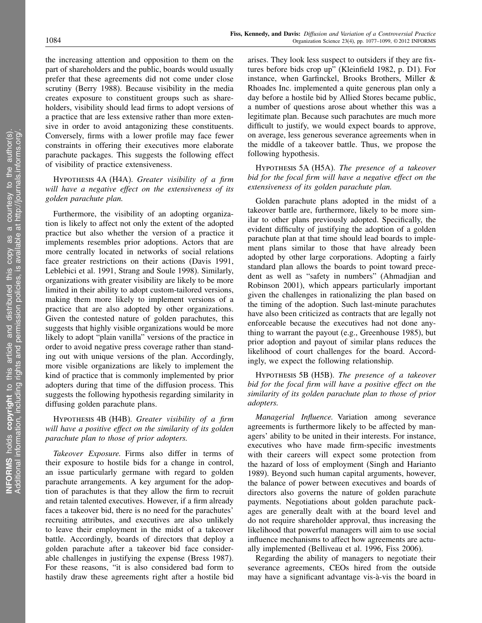the increasing attention and opposition to them on the part of shareholders and the public, boards would usually prefer that these agreements did not come under close scrutiny (Berry 1988). Because visibility in the media creates exposure to constituent groups such as shareholders, visibility should lead firms to adopt versions of a practice that are less extensive rather than more extensive in order to avoid antagonizing these constituents. Conversely, firms with a lower profile may face fewer constraints in offering their executives more elaborate parachute packages. This suggests the following effect of visibility of practice extensiveness.

# Hypothesis 4A (H4A). Greater visibility of a firm will have a negative effect on the extensiveness of its golden parachute plan.

Furthermore, the visibility of an adopting organization is likely to affect not only the extent of the adopted practice but also whether the version of a practice it implements resembles prior adoptions. Actors that are more centrally located in networks of social relations face greater restrictions on their actions (Davis 1991, Leblebici et al. 1991, Strang and Soule 1998). Similarly, organizations with greater visibility are likely to be more limited in their ability to adopt custom-tailored versions, making them more likely to implement versions of a practice that are also adopted by other organizations. Given the contested nature of golden parachutes, this suggests that highly visible organizations would be more likely to adopt "plain vanilla" versions of the practice in order to avoid negative press coverage rather than standing out with unique versions of the plan. Accordingly, more visible organizations are likely to implement the kind of practice that is commonly implemented by prior adopters during that time of the diffusion process. This suggests the following hypothesis regarding similarity in diffusing golden parachute plans.

# Hypothesis 4B (H4B). Greater visibility of a firm will have a positive effect on the similarity of its golden parachute plan to those of prior adopters.

Takeover Exposure. Firms also differ in terms of their exposure to hostile bids for a change in control, an issue particularly germane with regard to golden parachute arrangements. A key argument for the adoption of parachutes is that they allow the firm to recruit and retain talented executives. However, if a firm already faces a takeover bid, there is no need for the parachutes' recruiting attributes, and executives are also unlikely to leave their employment in the midst of a takeover battle. Accordingly, boards of directors that deploy a golden parachute after a takeover bid face considerable challenges in justifying the expense (Bress 1987). For these reasons, "it is also considered bad form to hastily draw these agreements right after a hostile bid

arises. They look less suspect to outsiders if they are fixtures before bids crop up" (Kleinfield 1982, p. D1). For instance, when Garfinckel, Brooks Brothers, Miller & Rhoades Inc. implemented a quite generous plan only a day before a hostile bid by Allied Stores became public, a number of questions arose about whether this was a legitimate plan. Because such parachutes are much more difficult to justify, we would expect boards to approve, on average, less generous severance agreements when in the middle of a takeover battle. Thus, we propose the following hypothesis.

# Hypothesis 5A (H5A). The presence of a takeover bid for the focal firm will have a negative effect on the extensiveness of its golden parachute plan.

Golden parachute plans adopted in the midst of a takeover battle are, furthermore, likely to be more similar to other plans previously adopted. Specifically, the evident difficulty of justifying the adoption of a golden parachute plan at that time should lead boards to implement plans similar to those that have already been adopted by other large corporations. Adopting a fairly standard plan allows the boards to point toward precedent as well as "safety in numbers" (Ahmadjian and Robinson 2001), which appears particularly important given the challenges in rationalizing the plan based on the timing of the adoption. Such last-minute parachutes have also been criticized as contracts that are legally not enforceable because the executives had not done anything to warrant the payout (e.g., Greenhouse 1985), but prior adoption and payout of similar plans reduces the likelihood of court challenges for the board. Accordingly, we expect the following relationship.

Hypothesis 5B (H5B). The presence of a takeover bid for the focal firm will have a positive effect on the similarity of its golden parachute plan to those of prior adopters.

Managerial Influence. Variation among severance agreements is furthermore likely to be affected by managers' ability to be united in their interests. For instance, executives who have made firm-specific investments with their careers will expect some protection from the hazard of loss of employment (Singh and Harianto 1989). Beyond such human capital arguments, however, the balance of power between executives and boards of directors also governs the nature of golden parachute payments. Negotiations about golden parachute packages are generally dealt with at the board level and do not require shareholder approval, thus increasing the likelihood that powerful managers will aim to use social influence mechanisms to affect how agreements are actually implemented (Belliveau et al. 1996, Fiss 2006).

Regarding the ability of managers to negotiate their severance agreements, CEOs hired from the outside may have a significant advantage vis-à-vis the board in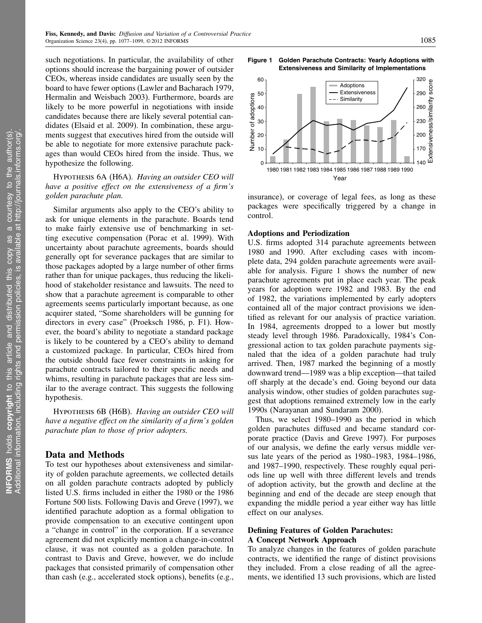such negotiations. In particular, the availability of other options should increase the bargaining power of outsider CEOs, whereas inside candidates are usually seen by the board to have fewer options (Lawler and Bacharach 1979, Hermalin and Weisbach 2003). Furthermore, boards are likely to be more powerful in negotiations with inside candidates because there are likely several potential candidates (Elsaid et al. 2009). In combination, these arguments suggest that executives hired from the outside will be able to negotiate for more extensive parachute packages than would CEOs hired from the inside. Thus, we hypothesize the following.

HYPOTHESIS 6A (H6A). Having an outsider CEO will have a positive effect on the extensiveness of a firm's golden parachute plan.

Similar arguments also apply to the CEO's ability to ask for unique elements in the parachute. Boards tend to make fairly extensive use of benchmarking in setting executive compensation (Porac et al. 1999). With uncertainty about parachute agreements, boards should generally opt for severance packages that are similar to those packages adopted by a large number of other firms rather than for unique packages, thus reducing the likelihood of stakeholder resistance and lawsuits. The need to show that a parachute agreement is comparable to other agreements seems particularly important because, as one acquirer stated, "Some shareholders will be gunning for directors in every case" (Proeksch 1986, p. F1). However, the board's ability to negotiate a standard package is likely to be countered by a CEO's ability to demand a customized package. In particular, CEOs hired from the outside should face fewer constraints in asking for parachute contracts tailored to their specific needs and whims, resulting in parachute packages that are less similar to the average contract. This suggests the following hypothesis.

HYPOTHESIS 6B (H6B). Having an outsider CEO will have a negative effect on the similarity of a firm's golden parachute plan to those of prior adopters.

# Data and Methods

To test our hypotheses about extensiveness and similarity of golden parachute agreements, we collected details on all golden parachute contracts adopted by publicly listed U.S. firms included in either the 1980 or the 1986 Fortune 500 lists. Following Davis and Greve (1997), we identified parachute adoption as a formal obligation to provide compensation to an executive contingent upon a "change in control" in the corporation. If a severance agreement did not explicitly mention a change-in-control clause, it was not counted as a golden parachute. In contrast to Davis and Greve, however, we do include packages that consisted primarily of compensation other than cash (e.g., accelerated stock options), benefits (e.g.,





insurance), or coverage of legal fees, as long as these packages were specifically triggered by a change in control.

#### Adoptions and Periodization

U.S. firms adopted 314 parachute agreements between 1980 and 1990. After excluding cases with incomplete data, 294 golden parachute agreements were available for analysis. Figure 1 shows the number of new parachute agreements put in place each year. The peak years for adoption were 1982 and 1983. By the end of 1982, the variations implemented by early adopters contained all of the major contract provisions we identified as relevant for our analysis of practice variation. In 1984, agreements dropped to a lower but mostly steady level through 1986. Paradoxically, 1984's Congressional action to tax golden parachute payments signaled that the idea of a golden parachute had truly arrived. Then, 1987 marked the beginning of a mostly downward trend—1989 was a blip exception—that tailed off sharply at the decade's end. Going beyond our data analysis window, other studies of golden parachutes suggest that adoptions remained extremely low in the early 1990s (Narayanan and Sundaram 2000).

Thus, we select 1980–1990 as the period in which golden parachutes diffused and became standard corporate practice (Davis and Greve 1997). For purposes of our analysis, we define the early versus middle versus late years of the period as 1980–1983, 1984–1986, and 1987–1990, respectively. These roughly equal periods line up well with three different levels and trends of adoption activity, but the growth and decline at the beginning and end of the decade are steep enough that expanding the middle period a year either way has little effect on our analyses.

### Defining Features of Golden Parachutes: A Concept Network Approach

To analyze changes in the features of golden parachute contracts, we identified the range of distinct provisions they included. From a close reading of all the agreements, we identified 13 such provisions, which are listed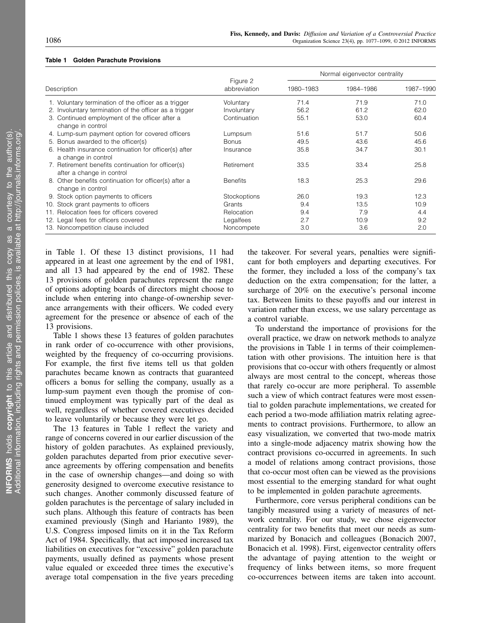#### Table 1 Golden Parachute Provisions

|                                                                                 |                          |           | Normal eigenvector centrality |           |  |  |  |
|---------------------------------------------------------------------------------|--------------------------|-----------|-------------------------------|-----------|--|--|--|
| Description                                                                     | Figure 2<br>abbreviation | 1980-1983 | 1984-1986                     | 1987-1990 |  |  |  |
| 1. Voluntary termination of the officer as a trigger                            | Voluntary                | 71.4      | 71.9                          | 71.0      |  |  |  |
| 2. Involuntary termination of the officer as a trigger                          | Involuntary              | 56.2      | 61.2                          | 62.0      |  |  |  |
| 3. Continued employment of the officer after a<br>change in control             | Continuation             | 55.1      | 53.0                          | 60.4      |  |  |  |
| 4. Lump-sum payment option for covered officers                                 | Lumpsum                  | 51.6      | 51.7                          | 50.6      |  |  |  |
| 5. Bonus awarded to the officer(s)                                              | <b>Bonus</b>             | 49.5      | 43.6                          | 45.6      |  |  |  |
| 6. Health insurance continuation for officer(s) after<br>a change in control    | Insurance                | 35.8      | 34.7                          | 30.1      |  |  |  |
| 7. Retirement benefits continuation for officer(s)<br>after a change in control | Retirement               | 33.5      | 33.4                          | 25.8      |  |  |  |
| 8. Other benefits continuation for officer(s) after a<br>change in control      | <b>Benefits</b>          | 18.3      | 25.3                          | 29.6      |  |  |  |
| 9. Stock option payments to officers                                            | Stockoptions             | 26.0      | 19.3                          | 12.3      |  |  |  |
| 10. Stock grant payments to officers                                            | Grants                   | 9.4       | 13.5                          | 10.9      |  |  |  |
| 11. Relocation fees for officers covered                                        | Relocation               | 9.4       | 7.9                           | 4.4       |  |  |  |
| 12. Legal fees for officers covered                                             | Legalfees                | 2.7       | 10.9                          | 9.2       |  |  |  |
| 13. Noncompetition clause included                                              | Noncompete               | 3.0       | 3.6                           | 2.0       |  |  |  |

in Table 1. Of these 13 distinct provisions, 11 had appeared in at least one agreement by the end of 1981, and all 13 had appeared by the end of 1982. These 13 provisions of golden parachutes represent the range of options adopting boards of directors might choose to include when entering into change-of-ownership severance arrangements with their officers. We coded every agreement for the presence or absence of each of the 13 provisions.

Table 1 shows these 13 features of golden parachutes in rank order of co-occurrence with other provisions, weighted by the frequency of co-occurring provisions. For example, the first five items tell us that golden parachutes became known as contracts that guaranteed officers a bonus for selling the company, usually as a lump-sum payment even though the promise of continued employment was typically part of the deal as well, regardless of whether covered executives decided to leave voluntarily or because they were let go.

The 13 features in Table 1 reflect the variety and range of concerns covered in our earlier discussion of the history of golden parachutes. As explained previously, golden parachutes departed from prior executive severance agreements by offering compensation and benefits in the case of ownership changes—and doing so with generosity designed to overcome executive resistance to such changes. Another commonly discussed feature of golden parachutes is the percentage of salary included in such plans. Although this feature of contracts has been examined previously (Singh and Harianto 1989), the U.S. Congress imposed limits on it in the Tax Reform Act of 1984. Specifically, that act imposed increased tax liabilities on executives for "excessive" golden parachute payments, usually defined as payments whose present value equaled or exceeded three times the executive's average total compensation in the five years preceding

the takeover. For several years, penalties were significant for both employers and departing executives. For the former, they included a loss of the company's tax deduction on the extra compensation; for the latter, a surcharge of 20% on the executive's personal income tax. Between limits to these payoffs and our interest in variation rather than excess, we use salary percentage as a control variable.

To understand the importance of provisions for the overall practice, we draw on network methods to analyze the provisions in Table 1 in terms of their coimplementation with other provisions. The intuition here is that provisions that co-occur with others frequently or almost always are most central to the concept, whereas those that rarely co-occur are more peripheral. To assemble such a view of which contract features were most essential to golden parachute implementations, we created for each period a two-mode affiliation matrix relating agreements to contract provisions. Furthermore, to allow an easy visualization, we converted that two-mode matrix into a single-mode adjacency matrix showing how the contract provisions co-occurred in agreements. In such a model of relations among contract provisions, those that co-occur most often can be viewed as the provisions most essential to the emerging standard for what ought to be implemented in golden parachute agreements.

Furthermore, core versus peripheral conditions can be tangibly measured using a variety of measures of network centrality. For our study, we chose eigenvector centrality for two benefits that meet our needs as summarized by Bonacich and colleagues (Bonacich 2007, Bonacich et al. 1998). First, eigenvector centrality offers the advantage of paying attention to the weight or frequency of links between items, so more frequent co-occurrences between items are taken into account.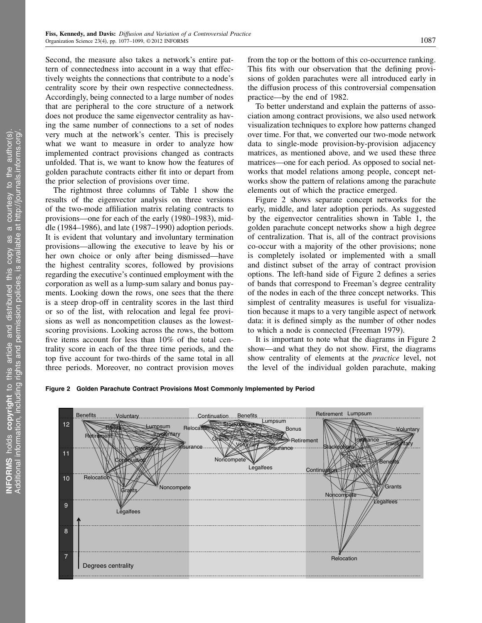Second, the measure also takes a network's entire pattern of connectedness into account in a way that effectively weights the connections that contribute to a node's centrality score by their own respective connectedness. Accordingly, being connected to a large number of nodes that are peripheral to the core structure of a network does not produce the same eigenvector centrality as having the same number of connections to a set of nodes very much at the network's center. This is precisely what we want to measure in order to analyze how implemented contract provisions changed as contracts unfolded. That is, we want to know how the features of golden parachute contracts either fit into or depart from the prior selection of provisions over time.

The rightmost three columns of Table 1 show the results of the eigenvector analysis on three versions of the two-mode affiliation matrix relating contracts to provisions—one for each of the early (1980–1983), middle (1984–1986), and late (1987–1990) adoption periods. It is evident that voluntary and involuntary termination provisions—allowing the executive to leave by his or her own choice or only after being dismissed—have the highest centrality scores, followed by provisions regarding the executive's continued employment with the corporation as well as a lump-sum salary and bonus payments. Looking down the rows, one sees that the there is a steep drop-off in centrality scores in the last third or so of the list, with relocation and legal fee provisions as well as noncompetition clauses as the lowestscoring provisions. Looking across the rows, the bottom five items account for less than 10% of the total centrality score in each of the three time periods, and the top five account for two-thirds of the same total in all three periods. Moreover, no contract provision moves from the top or the bottom of this co-occurrence ranking. This fits with our observation that the defining provisions of golden parachutes were all introduced early in the diffusion process of this controversial compensation practice—by the end of 1982.

To better understand and explain the patterns of association among contract provisions, we also used network visualization techniques to explore how patterns changed over time. For that, we converted our two-mode network data to single-mode provision-by-provision adjacency matrices, as mentioned above, and we used these three matrices—one for each period. As opposed to social networks that model relations among people, concept networks show the pattern of relations among the parachute elements out of which the practice emerged.

Figure 2 shows separate concept networks for the early, middle, and later adoption periods. As suggested by the eigenvector centralities shown in Table 1, the golden parachute concept networks show a high degree of centralization. That is, all of the contract provisions co-occur with a majority of the other provisions; none is completely isolated or implemented with a small and distinct subset of the array of contract provision options. The left-hand side of Figure 2 defines a series of bands that correspond to Freeman's degree centrality of the nodes in each of the three concept networks. This simplest of centrality measures is useful for visualization because it maps to a very tangible aspect of network data: it is defined simply as the number of other nodes to which a node is connected (Freeman 1979).

It is important to note what the diagrams in Figure 2 show—and what they do not show. First, the diagrams show centrality of elements at the practice level, not the level of the individual golden parachute, making

Figure 2 Golden Parachute Contract Provisions Most Commonly Implemented by Period

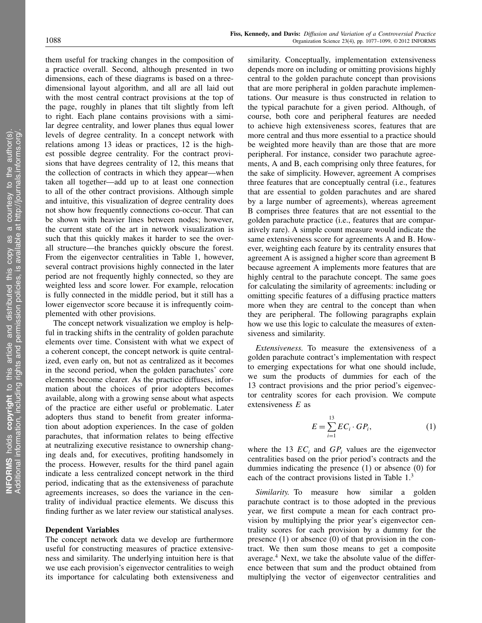them useful for tracking changes in the composition of a practice overall. Second, although presented in two dimensions, each of these diagrams is based on a threedimensional layout algorithm, and all are all laid out with the most central contract provisions at the top of the page, roughly in planes that tilt slightly from left to right. Each plane contains provisions with a similar degree centrality, and lower planes thus equal lower levels of degree centrality. In a concept network with relations among 13 ideas or practices, 12 is the highest possible degree centrality. For the contract provisions that have degrees centrality of 12, this means that the collection of contracts in which they appear—when taken all together—add up to at least one connection to all of the other contract provisions. Although simple and intuitive, this visualization of degree centrality does not show how frequently connections co-occur. That can be shown with heavier lines between nodes; however, the current state of the art in network visualization is such that this quickly makes it harder to see the overall structure—the branches quickly obscure the forest. From the eigenvector centralities in Table 1, however, several contract provisions highly connected in the later period are not frequently highly connected, so they are weighted less and score lower. For example, relocation is fully connected in the middle period, but it still has a lower eigenvector score because it is infrequently coimplemented with other provisions.

The concept network visualization we employ is helpful in tracking shifts in the centrality of golden parachute elements over time. Consistent with what we expect of a coherent concept, the concept network is quite centralized, even early on, but not as centralized as it becomes in the second period, when the golden parachutes' core elements become clearer. As the practice diffuses, information about the choices of prior adopters becomes available, along with a growing sense about what aspects of the practice are either useful or problematic. Later adopters thus stand to benefit from greater information about adoption experiences. In the case of golden parachutes, that information relates to being effective at neutralizing executive resistance to ownership changing deals and, for executives, profiting handsomely in the process. However, results for the third panel again indicate a less centralized concept network in the third period, indicating that as the extensiveness of parachute agreements increases, so does the variance in the centrality of individual practice elements. We discuss this finding further as we later review our statistical analyses.

#### Dependent Variables

The concept network data we develop are furthermore useful for constructing measures of practice extensiveness and similarity. The underlying intuition here is that we use each provision's eigenvector centralities to weigh its importance for calculating both extensiveness and similarity. Conceptually, implementation extensiveness depends more on including or omitting provisions highly central to the golden parachute concept than provisions that are more peripheral in golden parachute implementations. Our measure is thus constructed in relation to the typical parachute for a given period. Although, of course, both core and peripheral features are needed to achieve high extensiveness scores, features that are more central and thus more essential to a practice should be weighted more heavily than are those that are more peripheral. For instance, consider two parachute agreements, A and B, each comprising only three features, for the sake of simplicity. However, agreement A comprises three features that are conceptually central (i.e., features that are essential to golden parachutes and are shared by a large number of agreements), whereas agreement B comprises three features that are not essential to the golden parachute practice (i.e., features that are comparatively rare). A simple count measure would indicate the same extensiveness score for agreements A and B. However, weighting each feature by its centrality ensures that agreement A is assigned a higher score than agreement B because agreement A implements more features that are highly central to the parachute concept. The same goes for calculating the similarity of agreements: including or omitting specific features of a diffusing practice matters more when they are central to the concept than when they are peripheral. The following paragraphs explain how we use this logic to calculate the measures of extensiveness and similarity.

Extensiveness. To measure the extensiveness of a golden parachute contract's implementation with respect to emerging expectations for what one should include, we sum the products of dummies for each of the 13 contract provisions and the prior period's eigenvector centrality scores for each provision. We compute extensiveness E as

$$
E = \sum_{i=1}^{13} EC_i \cdot GP_i,\tag{1}
$$

where the 13  $EC_i$  and  $GP_i$  values are the eigenvector centralities based on the prior period's contracts and the dummies indicating the presence (1) or absence (0) for each of the contract provisions listed in Table 1.<sup>3</sup>

Similarity. To measure how similar a golden parachute contract is to those adopted in the previous year, we first compute a mean for each contract provision by multiplying the prior year's eigenvector centrality scores for each provision by a dummy for the presence (1) or absence (0) of that provision in the contract. We then sum those means to get a composite average.<sup>4</sup> Next, we take the absolute value of the difference between that sum and the product obtained from multiplying the vector of eigenvector centralities and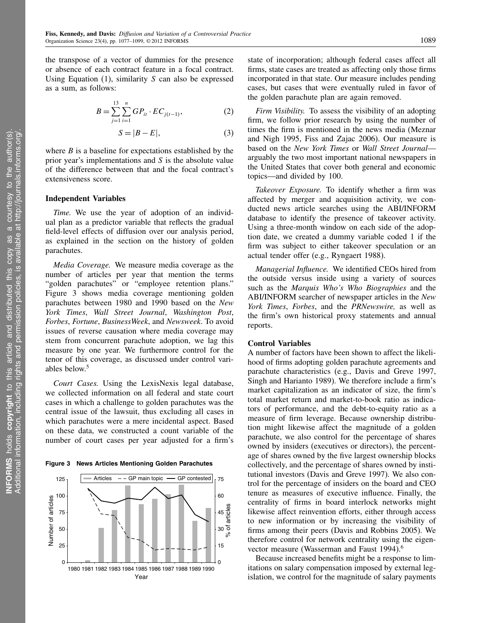the transpose of a vector of dummies for the presence or absence of each contract feature in a focal contract. Using Equation  $(1)$ , similarity S can also be expressed as a sum, as follows:

$$
B = \sum_{j=1}^{13} \sum_{i=1}^{n} GP_{it} \cdot EC_{j(t-1)},
$$
 (2)

$$
S = |B - E|,\tag{3}
$$

where  $B$  is a baseline for expectations established by the prior year's implementations and  $S$  is the absolute value of the difference between that and the focal contract's extensiveness score.

#### Independent Variables

Time. We use the year of adoption of an individual plan as a predictor variable that reflects the gradual field-level effects of diffusion over our analysis period, as explained in the section on the history of golden parachutes.

Media Coverage. We measure media coverage as the number of articles per year that mention the terms "golden parachutes" or "employee retention plans." Figure 3 shows media coverage mentioning golden parachutes between 1980 and 1990 based on the New York Times, Wall Street Journal, Washington Post, Forbes, Fortune, BusinessWeek, and Newsweek. To avoid issues of reverse causation where media coverage may stem from concurrent parachute adoption, we lag this measure by one year. We furthermore control for the tenor of this coverage, as discussed under control variables below.<sup>5</sup>

Court Cases. Using the LexisNexis legal database, we collected information on all federal and state court cases in which a challenge to golden parachutes was the central issue of the lawsuit, thus excluding all cases in which parachutes were a mere incidental aspect. Based on these data, we constructed a count variable of the number of court cases per year adjusted for a firm's

#### Figure 3 News Articles Mentioning Golden Parachutes



state of incorporation; although federal cases affect all firms, state cases are treated as affecting only those firms incorporated in that state. Our measure includes pending cases, but cases that were eventually ruled in favor of the golden parachute plan are again removed.

Firm Visibility. To assess the visibility of an adopting firm, we follow prior research by using the number of times the firm is mentioned in the news media (Meznar and Nigh 1995, Fiss and Zajac 2006). Our measure is based on the New York Times or Wall Street Journal arguably the two most important national newspapers in the United States that cover both general and economic topics—and divided by 100.

Takeover Exposure. To identify whether a firm was affected by merger and acquisition activity, we conducted news article searches using the ABI/INFORM database to identify the presence of takeover activity. Using a three-month window on each side of the adoption date, we created a dummy variable coded 1 if the firm was subject to either takeover speculation or an actual tender offer (e.g., Ryngaert 1988).

Managerial Influence. We identified CEOs hired from the outside versus inside using a variety of sources such as the Marquis Who's Who Biographies and the ABI/INFORM searcher of newspaper articles in the New York Times, Forbes, and the PRNewswire, as well as the firm's own historical proxy statements and annual reports.

#### Control Variables

A number of factors have been shown to affect the likelihood of firms adopting golden parachute agreements and parachute characteristics (e.g., Davis and Greve 1997, Singh and Harianto 1989). We therefore include a firm's market capitalization as an indicator of size, the firm's total market return and market-to-book ratio as indicators of performance, and the debt-to-equity ratio as a measure of firm leverage. Because ownership distribution might likewise affect the magnitude of a golden parachute, we also control for the percentage of shares owned by insiders (executives or directors), the percentage of shares owned by the five largest ownership blocks collectively, and the percentage of shares owned by institutional investors (Davis and Greve 1997). We also control for the percentage of insiders on the board and CEO tenure as measures of executive influence. Finally, the centrality of firms in board interlock networks might likewise affect reinvention efforts, either through access to new information or by increasing the visibility of firms among their peers (Davis and Robbins 2005). We therefore control for network centrality using the eigenvector measure (Wasserman and Faust 1994).<sup>6</sup>

Because increased benefits might be a response to limitations on salary compensation imposed by external legislation, we control for the magnitude of salary payments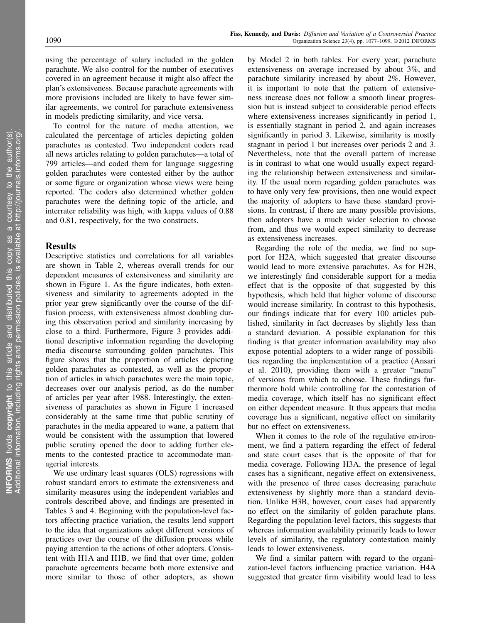using the percentage of salary included in the golden parachute. We also control for the number of executives covered in an agreement because it might also affect the plan's extensiveness. Because parachute agreements with more provisions included are likely to have fewer similar agreements, we control for parachute extensiveness in models predicting similarity, and vice versa.

To control for the nature of media attention, we calculated the percentage of articles depicting golden parachutes as contested. Two independent coders read all news articles relating to golden parachutes—a total of 799 articles—and coded them for language suggesting golden parachutes were contested either by the author or some figure or organization whose views were being reported. The coders also determined whether golden parachutes were the defining topic of the article, and interrater reliability was high, with kappa values of 0.88 and 0.81, respectively, for the two constructs.

# **Results**

Descriptive statistics and correlations for all variables are shown in Table 2, whereas overall trends for our dependent measures of extensiveness and similarity are shown in Figure 1. As the figure indicates, both extensiveness and similarity to agreements adopted in the prior year grew significantly over the course of the diffusion process, with extensiveness almost doubling during this observation period and similarity increasing by close to a third. Furthermore, Figure 3 provides additional descriptive information regarding the developing media discourse surrounding golden parachutes. This figure shows that the proportion of articles depicting golden parachutes as contested, as well as the proportion of articles in which parachutes were the main topic, decreases over our analysis period, as do the number of articles per year after 1988. Interestingly, the extensiveness of parachutes as shown in Figure 1 increased considerably at the same time that public scrutiny of parachutes in the media appeared to wane, a pattern that would be consistent with the assumption that lowered public scrutiny opened the door to adding further elements to the contested practice to accommodate managerial interests.

We use ordinary least squares (OLS) regressions with robust standard errors to estimate the extensiveness and similarity measures using the independent variables and controls described above, and findings are presented in Tables 3 and 4. Beginning with the population-level factors affecting practice variation, the results lend support to the idea that organizations adopt different versions of practices over the course of the diffusion process while paying attention to the actions of other adopters. Consistent with H1A and H1B, we find that over time, golden parachute agreements became both more extensive and more similar to those of other adopters, as shown by Model 2 in both tables. For every year, parachute extensiveness on average increased by about 3%, and parachute similarity increased by about 2%. However, it is important to note that the pattern of extensiveness increase does not follow a smooth linear progression but is instead subject to considerable period effects where extensiveness increases significantly in period 1, is essentially stagnant in period 2, and again increases significantly in period 3. Likewise, similarity is mostly stagnant in period 1 but increases over periods 2 and 3. Nevertheless, note that the overall pattern of increase is in contrast to what one would usually expect regarding the relationship between extensiveness and similarity. If the usual norm regarding golden parachutes was to have only very few provisions, then one would expect the majority of adopters to have these standard provisions. In contrast, if there are many possible provisions, then adopters have a much wider selection to choose from, and thus we would expect similarity to decrease as extensiveness increases.

Regarding the role of the media, we find no support for H2A, which suggested that greater discourse would lead to more extensive parachutes. As for H2B, we interestingly find considerable support for a media effect that is the opposite of that suggested by this hypothesis, which held that higher volume of discourse would increase similarity. In contrast to this hypothesis, our findings indicate that for every 100 articles published, similarity in fact decreases by slightly less than a standard deviation. A possible explanation for this finding is that greater information availability may also expose potential adopters to a wider range of possibilities regarding the implementation of a practice (Ansari et al. 2010), providing them with a greater "menu" of versions from which to choose. These findings furthermore hold while controlling for the contestation of media coverage, which itself has no significant effect on either dependent measure. It thus appears that media coverage has a significant, negative effect on similarity but no effect on extensiveness.

When it comes to the role of the regulative environment, we find a pattern regarding the effect of federal and state court cases that is the opposite of that for media coverage. Following H3A, the presence of legal cases has a significant, negative effect on extensiveness, with the presence of three cases decreasing parachute extensiveness by slightly more than a standard deviation. Unlike H3B, however, court cases had apparently no effect on the similarity of golden parachute plans. Regarding the population-level factors, this suggests that whereas information availability primarily leads to lower levels of similarity, the regulatory contestation mainly leads to lower extensiveness.

We find a similar pattern with regard to the organization-level factors influencing practice variation. H4A suggested that greater firm visibility would lead to less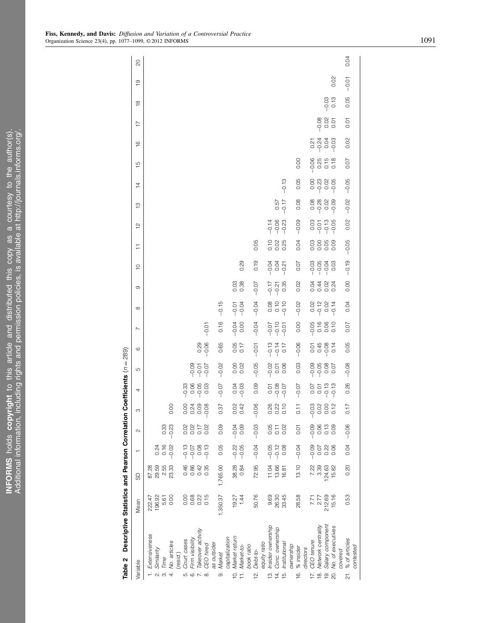| $\frac{1}{2}$<br>å                                                                        |
|-------------------------------------------------------------------------------------------|
|                                                                                           |
|                                                                                           |
|                                                                                           |
|                                                                                           |
|                                                                                           |
| -<br>-<br>-<br>-<br>-<br><br><br><br><br><br><br><br><br><br><br><br><br><br><br><br><br> |
| <b>CONTRACTES</b>                                                                         |
| able<br>R                                                                                 |
|                                                                                           |

| <b>G</b> | $\overline{ }$                                                                                              | $\sim$                                                                                              | ო                                                                                                                         | 4                               | LO                                                                                                                                                                                 | G                                                                                                               | $\sim$                                                                                                   | $\infty$                                                                                                          | တ                                                                                                           | $\supseteq$                                                                                   | $\overline{1}$                     | $\frac{2}{3}$                                                       | 5t                                                                                                           | $\overline{4}$     | Ю<br>᠇                                                                                                | $\frac{6}{1}$             | $\overline{1}$ | $\frac{8}{1}$             | <u>ဂ</u>                | $\infty$ |
|----------|-------------------------------------------------------------------------------------------------------------|-----------------------------------------------------------------------------------------------------|---------------------------------------------------------------------------------------------------------------------------|---------------------------------|------------------------------------------------------------------------------------------------------------------------------------------------------------------------------------|-----------------------------------------------------------------------------------------------------------------|----------------------------------------------------------------------------------------------------------|-------------------------------------------------------------------------------------------------------------------|-------------------------------------------------------------------------------------------------------------|-----------------------------------------------------------------------------------------------|------------------------------------|---------------------------------------------------------------------|--------------------------------------------------------------------------------------------------------------|--------------------|-------------------------------------------------------------------------------------------------------|---------------------------|----------------|---------------------------|-------------------------|----------|
| 87.28    |                                                                                                             |                                                                                                     |                                                                                                                           |                                 |                                                                                                                                                                                    |                                                                                                                 |                                                                                                          |                                                                                                                   |                                                                                                             |                                                                                               |                                    |                                                                     |                                                                                                              |                    |                                                                                                       |                           |                |                           |                         |          |
|          | 0.24                                                                                                        |                                                                                                     |                                                                                                                           |                                 |                                                                                                                                                                                    |                                                                                                                 |                                                                                                          |                                                                                                                   |                                                                                                             |                                                                                               |                                    |                                                                     |                                                                                                              |                    |                                                                                                       |                           |                |                           |                         |          |
|          |                                                                                                             |                                                                                                     |                                                                                                                           |                                 |                                                                                                                                                                                    |                                                                                                                 |                                                                                                          |                                                                                                                   |                                                                                                             |                                                                                               |                                    |                                                                     |                                                                                                              |                    |                                                                                                       |                           |                |                           |                         |          |
| 23.33    | $-0.02$                                                                                                     |                                                                                                     | 0.00                                                                                                                      |                                 |                                                                                                                                                                                    |                                                                                                                 |                                                                                                          |                                                                                                                   |                                                                                                             |                                                                                               |                                    |                                                                     |                                                                                                              |                    |                                                                                                       |                           |                |                           |                         |          |
|          |                                                                                                             |                                                                                                     |                                                                                                                           |                                 |                                                                                                                                                                                    |                                                                                                                 |                                                                                                          |                                                                                                                   |                                                                                                             |                                                                                               |                                    |                                                                     |                                                                                                              |                    |                                                                                                       |                           |                |                           |                         |          |
|          | $-0.13$                                                                                                     | 0.02                                                                                                |                                                                                                                           |                                 |                                                                                                                                                                                    |                                                                                                                 |                                                                                                          |                                                                                                                   |                                                                                                             |                                                                                               |                                    |                                                                     |                                                                                                              |                    |                                                                                                       |                           |                |                           |                         |          |
|          |                                                                                                             |                                                                                                     |                                                                                                                           |                                 |                                                                                                                                                                                    |                                                                                                                 |                                                                                                          |                                                                                                                   |                                                                                                             |                                                                                               |                                    |                                                                     |                                                                                                              |                    |                                                                                                       |                           |                |                           |                         |          |
| 0.42     | 0.08                                                                                                        |                                                                                                     |                                                                                                                           |                                 |                                                                                                                                                                                    |                                                                                                                 |                                                                                                          |                                                                                                                   |                                                                                                             |                                                                                               |                                    |                                                                     |                                                                                                              |                    |                                                                                                       |                           |                |                           |                         |          |
| 0.35     | $-0.13$                                                                                                     |                                                                                                     |                                                                                                                           |                                 |                                                                                                                                                                                    |                                                                                                                 |                                                                                                          |                                                                                                                   |                                                                                                             |                                                                                               |                                    |                                                                     |                                                                                                              |                    |                                                                                                       |                           |                |                           |                         |          |
|          |                                                                                                             |                                                                                                     |                                                                                                                           |                                 |                                                                                                                                                                                    |                                                                                                                 |                                                                                                          |                                                                                                                   |                                                                                                             |                                                                                               |                                    |                                                                     |                                                                                                              |                    |                                                                                                       |                           |                |                           |                         |          |
| 1,765.00 | 0.05                                                                                                        | 0.09                                                                                                | 0.37                                                                                                                      |                                 |                                                                                                                                                                                    | 0.65                                                                                                            |                                                                                                          |                                                                                                                   |                                                                                                             |                                                                                               |                                    |                                                                     |                                                                                                              |                    |                                                                                                       |                           |                |                           |                         |          |
|          |                                                                                                             |                                                                                                     |                                                                                                                           |                                 |                                                                                                                                                                                    |                                                                                                                 |                                                                                                          |                                                                                                                   |                                                                                                             |                                                                                               |                                    |                                                                     |                                                                                                              |                    |                                                                                                       |                           |                |                           |                         |          |
|          |                                                                                                             |                                                                                                     |                                                                                                                           |                                 |                                                                                                                                                                                    |                                                                                                                 |                                                                                                          |                                                                                                                   |                                                                                                             |                                                                                               |                                    |                                                                     |                                                                                                              |                    |                                                                                                       |                           |                |                           |                         |          |
|          | $-0.05$                                                                                                     | 0.09                                                                                                |                                                                                                                           |                                 |                                                                                                                                                                                    |                                                                                                                 |                                                                                                          |                                                                                                                   |                                                                                                             | 0.29                                                                                          |                                    |                                                                     |                                                                                                              |                    |                                                                                                       |                           |                |                           |                         |          |
|          |                                                                                                             |                                                                                                     |                                                                                                                           |                                 |                                                                                                                                                                                    |                                                                                                                 |                                                                                                          |                                                                                                                   |                                                                                                             |                                                                                               |                                    |                                                                     |                                                                                                              |                    |                                                                                                       |                           |                |                           |                         |          |
| 72.95    | $-0.04$                                                                                                     |                                                                                                     |                                                                                                                           | 0.09                            |                                                                                                                                                                                    |                                                                                                                 |                                                                                                          |                                                                                                                   |                                                                                                             |                                                                                               |                                    |                                                                     |                                                                                                              |                    |                                                                                                       |                           |                |                           |                         |          |
|          |                                                                                                             |                                                                                                     |                                                                                                                           |                                 |                                                                                                                                                                                    |                                                                                                                 |                                                                                                          |                                                                                                                   |                                                                                                             |                                                                                               |                                    |                                                                     |                                                                                                              |                    |                                                                                                       |                           |                |                           |                         |          |
| 11.04    |                                                                                                             |                                                                                                     |                                                                                                                           |                                 |                                                                                                                                                                                    |                                                                                                                 |                                                                                                          |                                                                                                                   |                                                                                                             |                                                                                               |                                    |                                                                     |                                                                                                              |                    |                                                                                                       |                           |                |                           |                         |          |
|          |                                                                                                             |                                                                                                     |                                                                                                                           |                                 |                                                                                                                                                                                    |                                                                                                                 |                                                                                                          |                                                                                                                   |                                                                                                             |                                                                                               |                                    |                                                                     |                                                                                                              |                    |                                                                                                       |                           |                |                           |                         |          |
|          |                                                                                                             |                                                                                                     |                                                                                                                           |                                 |                                                                                                                                                                                    |                                                                                                                 |                                                                                                          |                                                                                                                   |                                                                                                             |                                                                                               |                                    |                                                                     |                                                                                                              |                    |                                                                                                       |                           |                |                           |                         |          |
|          |                                                                                                             |                                                                                                     |                                                                                                                           |                                 |                                                                                                                                                                                    |                                                                                                                 |                                                                                                          |                                                                                                                   |                                                                                                             |                                                                                               |                                    |                                                                     |                                                                                                              |                    |                                                                                                       |                           |                |                           |                         |          |
| 13.10    | $-0.04$                                                                                                     | 0.01                                                                                                | 0.11                                                                                                                      |                                 |                                                                                                                                                                                    |                                                                                                                 |                                                                                                          |                                                                                                                   |                                                                                                             |                                                                                               |                                    |                                                                     | 0.08                                                                                                         | 0.05               | 0.00                                                                                                  |                           |                |                           |                         |          |
|          |                                                                                                             |                                                                                                     |                                                                                                                           |                                 |                                                                                                                                                                                    |                                                                                                                 |                                                                                                          |                                                                                                                   |                                                                                                             |                                                                                               |                                    |                                                                     |                                                                                                              |                    |                                                                                                       |                           |                |                           |                         |          |
|          |                                                                                                             |                                                                                                     |                                                                                                                           |                                 |                                                                                                                                                                                    |                                                                                                                 |                                                                                                          |                                                                                                                   |                                                                                                             |                                                                                               |                                    |                                                                     |                                                                                                              |                    |                                                                                                       |                           |                |                           |                         |          |
|          |                                                                                                             |                                                                                                     |                                                                                                                           |                                 |                                                                                                                                                                                    |                                                                                                                 |                                                                                                          |                                                                                                                   |                                                                                                             |                                                                                               |                                    |                                                                     |                                                                                                              |                    |                                                                                                       |                           |                |                           |                         |          |
|          |                                                                                                             |                                                                                                     |                                                                                                                           |                                 |                                                                                                                                                                                    |                                                                                                                 |                                                                                                          |                                                                                                                   |                                                                                                             |                                                                                               |                                    |                                                                     |                                                                                                              |                    |                                                                                                       |                           |                |                           |                         |          |
|          |                                                                                                             |                                                                                                     |                                                                                                                           |                                 |                                                                                                                                                                                    |                                                                                                                 |                                                                                                          |                                                                                                                   |                                                                                                             |                                                                                               |                                    |                                                                     |                                                                                                              |                    |                                                                                                       |                           |                |                           | 0.02                    |          |
|          |                                                                                                             |                                                                                                     |                                                                                                                           |                                 |                                                                                                                                                                                    |                                                                                                                 |                                                                                                          |                                                                                                                   |                                                                                                             |                                                                                               |                                    |                                                                     |                                                                                                              |                    |                                                                                                       |                           |                |                           |                         |          |
|          |                                                                                                             |                                                                                                     |                                                                                                                           |                                 |                                                                                                                                                                                    |                                                                                                                 |                                                                                                          |                                                                                                                   |                                                                                                             |                                                                                               |                                    |                                                                     |                                                                                                              |                    |                                                                                                       |                           |                |                           |                         | 0.04     |
|          |                                                                                                             |                                                                                                     |                                                                                                                           |                                 |                                                                                                                                                                                    |                                                                                                                 |                                                                                                          |                                                                                                                   |                                                                                                             |                                                                                               |                                    |                                                                     |                                                                                                              |                    |                                                                                                       |                           |                |                           |                         |          |
|          | 7.22<br>0.20<br>29.59<br>2.55<br>0.46<br>0.86<br>38.28<br>0.84<br>3.39<br>13.66<br>16.81<br>15.82<br>124.63 | 0.16<br>$-0.22$<br>$-0.05$<br>$-0.12$<br>0.08<br>$-0.09$<br>0.02<br>0.03<br>0.06<br>0.04<br>$-0.07$ | $-0.03$<br>$-0.06$<br>$0.33$<br>$-0.23$<br>0.02<br>0.17<br>0.02<br>$-0.04$<br>85<br>05<br>05<br>$-0.06$<br>$0.13$<br>0.09 | 0.02<br>0.42<br>$-0.06$<br>0.17 | 0.26<br>$-0.33$<br>$-0.05$<br>$-0.05$<br>$-0.07$<br>$-0.03$<br>$\begin{array}{c} 0.07 \\ 0.01 \\ 0.13 \\ -0.13 \\ \end{array}$<br>0.03<br>$-0.07$<br>$-0.08$<br>$-0.07$<br>$-0.07$ | $-0.05$<br>0.03<br>$-0.08$<br>$-0.02$<br>8<br>0.8<br>0.0<br>$-0.07$<br>$-0.06$<br>$-0.09$<br>$-0.07$<br>$-0.07$ | 0.29<br>0.17<br>$-0.13$<br>$-0.14$<br>0.17<br>$-0.06$<br>0.05<br>$-0.01$<br>$0.458$<br>$0.468$<br>$0.74$ | 0.16<br>0.00<br>0.07<br>$-0.04$<br>$-0.04$<br>$-0.07$<br>$-0.10$<br>$-0.01$<br>$-0.16$<br>0.06<br>0.10<br>$-0.01$ | $-0.15$<br>$-0.04$<br>$0.70$<br>0.10<br>0.10<br>$-0.02$<br>0.04<br>$-0.01$<br>$0.287$<br>$0.287$<br>$0.057$ | 0.00<br>0.38<br>0.38<br>0.02<br>0<br>2 3 9 2<br>2 4 9 2<br>$-0.07$<br>-0.75<br>-0.75<br>-0.75 | 0.19<br>$-0.19$<br>0.07<br>$-0.21$ | 0.05<br>0<br>0<br>0<br>0<br>0<br>0<br>0<br>$-0.05$<br>0.04<br>38880 | 0.02<br>$\begin{array}{c}\n 7.8 \\  -7.8 \\  -7.9\n \end{array}$<br>$-0.09$<br>$0.578$<br>$0.579$<br>$0.799$ | $-0.02$<br>$-0.57$ | $-0.13$<br>$-0.05$<br>$\begin{array}{c} 8 & 8 & 8 \\ 6 & 9 & 6 \\ 9 & 9 & 9 \\ 1 & 0 & 9 \end{array}$ | $0.8898$<br>0.000<br>0.07 | 0.02           | 888<br>000<br>000<br>0.01 | $-0.03$<br>0.13<br>0.05 | $-0.01$  |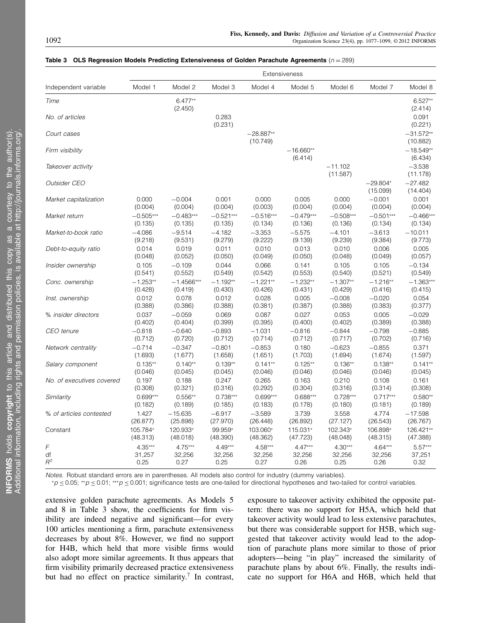|                           |             |                      |                  |                         | Extensiveness          |                       |                        |                         |
|---------------------------|-------------|----------------------|------------------|-------------------------|------------------------|-----------------------|------------------------|-------------------------|
| Independent variable      | Model 1     | Model 2              | Model 3          | Model 4                 | Model 5                | Model 6               | Model 7                | Model 8                 |
| Time                      |             | $6.477**$<br>(2.450) |                  |                         |                        |                       |                        | $6.527**$<br>(2.414)    |
| No. of articles           |             |                      | 0.283<br>(0.231) |                         |                        |                       |                        | 0.091<br>(0.221)        |
| Court cases               |             |                      |                  | $-28.887**$<br>(10.749) |                        |                       |                        | $-31.572**$<br>(10.882) |
| Firm visibility           |             |                      |                  |                         | $-16.660**$<br>(6.414) |                       |                        | $-18.549**$<br>(6.434)  |
| Takeover activity         |             |                      |                  |                         |                        | $-11.102$<br>(11.587) |                        | $-3.538$<br>(11.178)    |
| Outsider CEO              |             |                      |                  |                         |                        |                       | $-29.804*$<br>(15.099) | $-27.482$<br>(14.404)   |
| Market capitalization     | 0.000       | $-0.004$             | 0.001            | 0.000                   | 0.005                  | 0.000                 | $-0.001$               | 0.001                   |
|                           | (0.004)     | (0.004)              | (0.004)          | (0.003)                 | (0.004)                | (0.004)               | (0.004)                | (0.004)                 |
| Market return             | $-0.505***$ | $-0.483***$          | $-0.521***$      | $-0.516***$             | $-0.479***$            | $-0.508***$           | $-0.501***$            | $-0.466***$             |
|                           | (0.135)     | (0.135)              | (0.135)          | (0.134)                 | (0.136)                | (0.136)               | (0.134)                | (0.134)                 |
| Market-to-book ratio      | $-4.086$    | $-9.514$             | $-4.182$         | $-3.353$                | $-5.575$               | $-4.101$              | $-3.613$               | $-10.011$               |
|                           | (9.218)     | (9.531)              | (9.279)          | (9.222)                 | (9.139)                | (9.239)               | (9.384)                | (9.773)                 |
| Debt-to-equity ratio      | 0.014       | 0.019                | 0.011            | 0.010                   | 0.013                  | 0.010                 | 0.006                  | 0.005                   |
|                           | (0.048)     | (0.052)              | (0.050)          | (0.049)                 | (0.050)                | (0.048)               | (0.049)                | (0.057)                 |
| Insider ownership         | 0.105       | $-0.109$             | 0.044            | 0.066                   | 0.141                  | 0.105                 | 0.105                  | $-0.134$                |
|                           | (0.541)     | (0.552)              | (0.549)          | (0.542)                 | (0.553)                | (0.540)               | (0.521)                | (0.549)                 |
| Conc. ownership           | $-1.253**$  | $-1.4566***$         | $-1.192**$       | $-1.221**$              | $-1.232**$             | $-1.307**$            | $-1.216**$             | $-1.363***$             |
|                           | (0.428)     | (0.419)              | (0.430)          | (0.426)                 | (0.431)                | (0.429)               | (0.416)                | (0.415)                 |
| Inst. ownership           | 0.012       | 0.078                | 0.012            | 0.028                   | 0.005                  | $-0.008$              | $-0.020$               | 0.054                   |
|                           | (0.388)     | (0.386)              | (0.388)          | (0.381)                 | (0.387)                | (0.388)               | (0.383)                | (0.377)                 |
| % insider directors       | 0.037       | $-0.059$             | 0.069            | 0.087                   | 0.027                  | 0.053                 | 0.005                  | $-0.029$                |
|                           | (0.402)     | (0.404)              | (0.399)          | (0.395)                 | (0.400)                | (0.402)               | (0.389)                | (0.388)                 |
| CEO tenure                | $-0.818$    | $-0.640$             | $-0.893$         | $-1.031$                | $-0.816$               | $-0.844$              | $-0.798$               | $-0.885$                |
|                           | (0.712)     | (0.720)              | (0.712)          | (0.714)                 | (0.712)                | (0.717)               | (0.702)                | (0.716)                 |
| Network centrality        | $-0.714$    | $-0.347$             | $-0.801$         | $-0.853$                | 0.180                  | $-0.623$              | $-0.855$               | 0.371                   |
|                           | (1.693)     | (1.677)              | (1.658)          | (1.651)                 | (1.703)                | (1.694)               | (1.674)                | (1.597)                 |
| Salary component          | $0.135**$   | $0.140**$            | $0.139**$        | $0.141**$               | $0.125**$              | $0.136**$             | $0.138**$              | $0.141**$               |
|                           | (0.046)     | (0.045)              | (0.045)          | (0.046)                 | (0.046)                | (0.046)               | (0.046)                | (0.045)                 |
| No. of executives covered | 0.197       | 0.188                | 0.247            | 0.265                   | 0.163                  | 0.210                 | 0.108                  | 0.161                   |
|                           | (0.308)     | (0.321)              | (0.316)          | (0.292)                 | (0.304)                | (0.316)               | (0.314)                | (0.308)                 |
| Similarity                | $0.699***$  | $0.556**$            | $0.738***$       | $0.699***$              | $0.688***$             | $0.728***$            | $0.717***$             | $0.580**$               |
|                           | (0.182)     | (0.189)              | (0.185)          | (0.183)                 | (0.178)                | (0.180)               | (0.181)                | (0.189)                 |
| % of articles contested   | 1.427       | $-15.635$            | $-6.917$         | $-3.589$                | 3.739                  | 3.558                 | 4.774                  | $-17.598$               |
|                           | (26.877)    | (25.898)             | (27.970)         | (26.448)                | (26.892)               | (27.127)              | (26.543)               | (26.767)                |
| Constant                  | 105.784*    | 120.933*             | 99.959*          | 103.060*                | 115.031*               | 102.343*              | 106.898*               | 126.421**               |
|                           | (48.313)    | (48.018)             | (48.390)         | (48.362)                | (47.723)               | (48.048)              | (48.315)               | (47.388)                |
| F                         | 4.35***     | 4.75***              | 4.49***          | 4.58***                 | $4.47***$              | $4.30***$             | 4.64***                | $5.57***$               |
| df                        | 31,257      | 32,256               | 32,256           | 32,256                  | 32,256                 | 32,256                | 32,256                 | 37,251                  |
| $\mathbb{R}^2$            | 0.25        | 0.27                 | 0.25             | 0.27                    | 0.26                   | 0.25                  | 0.26                   | 0.32                    |

#### Table 3 OLS Regression Models Predicting Extensiveness of Golden Parachute Agreements ( $n = 289$ )

Notes. Robust standard errors are in parentheses. All models also control for industry (dummy variables).

\*p ≤ 0.05; \*\*p ≤ 0.01; \*\*\*p ≤ 0.001; significance tests are one-tailed for directional hypotheses and two-tailed for control variables.

extensive golden parachute agreements. As Models 5 and 8 in Table 3 show, the coefficients for firm visibility are indeed negative and significant—for every 100 articles mentioning a firm, parachute extensiveness decreases by about 8%. However, we find no support for H4B, which held that more visible firms would also adopt more similar agreements. It thus appears that firm visibility primarily decreased practice extensiveness but had no effect on practice similarity.<sup>7</sup> In contrast,

exposure to takeover activity exhibited the opposite pattern: there was no support for H5A, which held that takeover activity would lead to less extensive parachutes, but there was considerable support for H5B, which suggested that takeover activity would lead to the adoption of parachute plans more similar to those of prior adopters—being "in play" increased the similarity of parachute plans by about 6%. Finally, the results indicate no support for H6A and H6B, which held that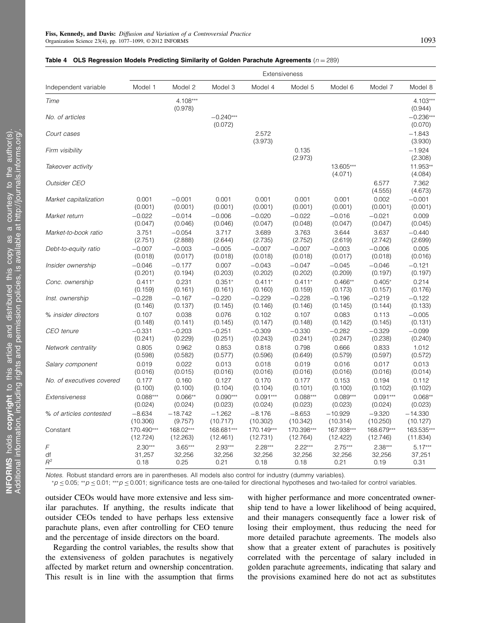|                           |            |           |                        |                  | Extensiveness    |                      |                  |                                   |
|---------------------------|------------|-----------|------------------------|------------------|------------------|----------------------|------------------|-----------------------------------|
| Independent variable      | Model 1    | Model 2   | Model 3                | Model 4          | Model 5          | Model 6              | Model 7          | Model 8                           |
| Time                      |            | 4.108***  |                        |                  |                  |                      |                  | 4.103***                          |
| No. of articles           |            | (0.978)   | $-0.240***$<br>(0.072) |                  |                  |                      |                  | (0.944)<br>$-0.236***$<br>(0.070) |
| Court cases               |            |           |                        | 2.572<br>(3.973) |                  |                      |                  | $-1.843$<br>(3.930)               |
| Firm visibility           |            |           |                        |                  | 0.135<br>(2.973) |                      |                  | $-1.924$<br>(2.308)               |
| Takeover activity         |            |           |                        |                  |                  | 13.605***<br>(4.071) |                  | 11.953**<br>(4.084)               |
| Outsider CEO              |            |           |                        |                  |                  |                      | 6.577<br>(4.555) | 7.362<br>(4.673)                  |
| Market capitalization     | 0.001      | $-0.001$  | 0.001                  | 0.001            | 0.001            | 0.001                | 0.002            | $-0.001$                          |
|                           | (0.001)    | (0.001)   | (0.001)                | (0.001)          | (0.001)          | (0.001)              | (0.001)          | (0.001)                           |
| Market return             | $-0.022$   | $-0.014$  | $-0.006$               | $-0.020$         | $-0.022$         | $-0.016$             | $-0.021$         | 0.009                             |
|                           | (0.047)    | (0.046)   | (0.046)                | (0.047)          | (0.048)          | (0.047)              | (0.047)          | (0.045)                           |
| Market-to-book ratio      | 3.751      | $-0.054$  | 3.717                  | 3.689            | 3.763            | 3.644                | 3.637            | $-0.440$                          |
|                           | (2.751)    | (2.888)   | (2.644)                | (2.735)          | (2.752)          | (2.619)              | (2.742)          | (2.699)                           |
| Debt-to-equity ratio      | $-0.007$   | $-0.003$  | $-0.005$               | $-0.007$         | $-0.007$         | $-0.003$             | $-0.006$         | 0.005                             |
|                           | (0.018)    | (0.017)   | (0.018)                | (0.018)          | (0.018)          | (0.017)              | (0.018)          | (0.016)                           |
| Insider ownership         | $-0.046$   | $-0.177$  | 0.007                  | $-0.043$         | $-0.047$         | $-0.045$             | $-0.046$         | $-0.121$                          |
|                           | (0.201)    | (0.194)   | (0.203)                | (0.202)          | (0.202)          | (0.209)              | (0.197)          | (0.197)                           |
| Conc. ownership           | $0.411*$   | 0.231     | $0.351*$               | $0.411*$         | $0.411*$         | $0.466**$            | $0.405*$         | 0.214                             |
|                           | (0.159)    | (0.161)   | (0.161)                | (0.160)          | (0.159)          | (0.173)              | (0.157)          | (0.176)                           |
| Inst. ownership           | $-0.228$   | $-0.167$  | $-0.220$               | $-0.229$         | $-0.228$         | $-0.196$             | $-0.219$         | $-0.122$                          |
|                           | (0.146)    | (0.137)   | (0.145)                | (0.146)          | (0.146)          | (0.145)              | (0.144)          | (0.133)                           |
| % insider directors       | 0.107      | 0.038     | 0.076                  | 0.102            | 0.107            | 0.083                | 0.113            | $-0.005$                          |
|                           | (0.148)    | (0.141)   | (0.145)                | (0.147)          | (0.148)          | (0.142)              | (0.145)          | (0.131)                           |
| CEO tenure                | $-0.331$   | $-0.203$  | $-0.251$               | $-0.309$         | $-0.330$         | $-0.282$             | $-0.329$         | $-0.099$                          |
|                           | (0.241)    | (0.229)   | (0.251)                | (0.243)          | (0.241)          | (0.247)              | (0.238)          | (0.240)                           |
| Network centrality        | 0.805      | 0.962     | 0.853                  | 0.818            | 0.798            | 0.666                | 0.833            | 1.012                             |
|                           | (0.598)    | (0.582)   | (0.577)                | (0.596)          | (0.649)          | (0.579)              | (0.597)          | (0.572)                           |
| Salary component          | 0.019      | 0.022     | 0.013                  | 0.018            | 0.019            | 0.016                | 0.017            | 0.013                             |
|                           | (0.016)    | (0.015)   | (0.016)                | (0.016)          | (0.016)          | (0.016)              | (0.016)          | (0.014)                           |
| No. of executives covered | 0.177      | 0.160     | 0.127                  | 0.170            | 0.177            | 0.153                | 0.194            | 0.112                             |
|                           | (0.100)    | (0.100)   | (0.104)                | (0.104)          | (0.101)          | (0.100)              | (0.102)          | (0.102)                           |
| Extensiveness             | $0.088***$ | $0.066**$ | $0.090***$             | $0.091***$       | $0.088***$       | $0.089***$           | $0.091***$       | $0.068**$                         |
|                           | (0.024)    | (0.024)   | (0.023)                | (0.024)          | (0.023)          | (0.023)              | (0.024)          | (0.023)                           |
| % of articles contested   | $-8.634$   | $-18.742$ | $-1.262$               | $-8.176$         | $-8.653$         | $-10.929$            | $-9.320$         | $-14.330$                         |
|                           | (10.306)   | (9.757)   | (10.717)               | (10.302)         | (10.342)         | (10.314)             | (10.250)         | (10.127)                          |
| Constant                  | 170.490*** | 168.02*** | 168.681***             | 170.149***       | 170.398***       | 167.938***           | 168.679***       | 163.535***                        |
|                           | (12.724)   | (12.263)  | (12.461)               | (12.731)         | (12.764)         | (12.422)             | (12.746)         | (11.834)                          |
| F                         | $2.30***$  | $3.65***$ | $2.93***$              | $2.28***$        | $2.22***$        | $2.75***$            | 2.38***          | $5.17***$                         |
| df                        | 31,257     | 32,256    | 32,256                 | 32,256           | 32,256           | 32,256               | 32,256           | 37,251                            |
| $R^2$                     | 0.18       | 0.25      | 0.21                   | 0.18             | 0.18             | 0.21                 | 0.19             | 0.31                              |

#### Table 4 OLS Regression Models Predicting Similarity of Golden Parachute Agreements ( $n = 289$ )

Notes. Robust standard errors are in parentheses. All models also control for industry (dummy variables).

\*p  $\leq$  0.05; \*\*p  $\leq$  0.01; \*\*\*p  $\leq$  0.001; significance tests are one-tailed for directional hypotheses and two-tailed for control variables.

outsider CEOs would have more extensive and less similar parachutes. If anything, the results indicate that outsider CEOs tended to have perhaps less extensive parachute plans, even after controlling for CEO tenure and the percentage of inside directors on the board.

Regarding the control variables, the results show that the extensiveness of golden parachutes is negatively affected by market return and ownership concentration. This result is in line with the assumption that firms with higher performance and more concentrated ownership tend to have a lower likelihood of being acquired, and their managers consequently face a lower risk of losing their employment, thus reducing the need for more detailed parachute agreements. The models also show that a greater extent of parachutes is positively correlated with the percentage of salary included in golden parachute agreements, indicating that salary and the provisions examined here do not act as substitutes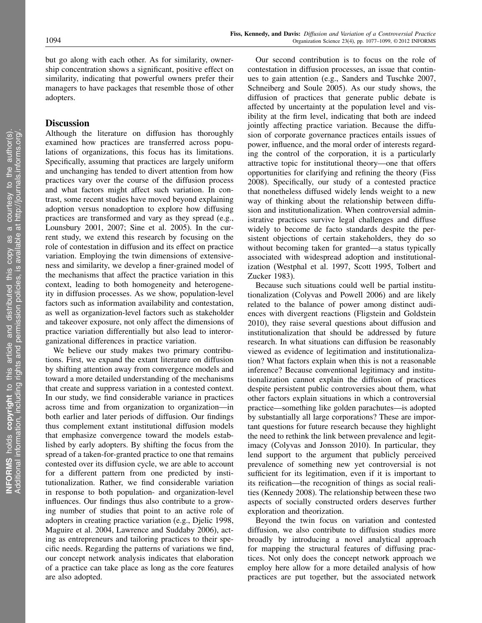but go along with each other. As for similarity, ownership concentration shows a significant, positive effect on similarity, indicating that powerful owners prefer their managers to have packages that resemble those of other adopters.

# **Discussion**

Although the literature on diffusion has thoroughly examined how practices are transferred across populations of organizations, this focus has its limitations. Specifically, assuming that practices are largely uniform and unchanging has tended to divert attention from how practices vary over the course of the diffusion process and what factors might affect such variation. In contrast, some recent studies have moved beyond explaining adoption versus nonadoption to explore how diffusing practices are transformed and vary as they spread (e.g., Lounsbury 2001, 2007; Sine et al. 2005). In the current study, we extend this research by focusing on the role of contestation in diffusion and its effect on practice variation. Employing the twin dimensions of extensiveness and similarity, we develop a finer-grained model of the mechanisms that affect the practice variation in this context, leading to both homogeneity and heterogeneity in diffusion processes. As we show, population-level factors such as information availability and contestation, as well as organization-level factors such as stakeholder and takeover exposure, not only affect the dimensions of practice variation differentially but also lead to interorganizational differences in practice variation.

We believe our study makes two primary contributions. First, we expand the extant literature on diffusion by shifting attention away from convergence models and toward a more detailed understanding of the mechanisms that create and suppress variation in a contested context. In our study, we find considerable variance in practices across time and from organization to organization—in both earlier and later periods of diffusion. Our findings thus complement extant institutional diffusion models that emphasize convergence toward the models established by early adopters. By shifting the focus from the spread of a taken-for-granted practice to one that remains contested over its diffusion cycle, we are able to account for a different pattern from one predicted by institutionalization. Rather, we find considerable variation in response to both population- and organization-level influences. Our findings thus also contribute to a growing number of studies that point to an active role of adopters in creating practice variation (e.g., Djelic 1998, Maguire et al. 2004, Lawrence and Suddaby 2006), acting as entrepreneurs and tailoring practices to their specific needs. Regarding the patterns of variations we find, our concept network analysis indicates that elaboration of a practice can take place as long as the core features are also adopted.

Our second contribution is to focus on the role of contestation in diffusion processes, an issue that continues to gain attention (e.g., Sanders and Tuschke 2007, Schneiberg and Soule 2005). As our study shows, the diffusion of practices that generate public debate is affected by uncertainty at the population level and visibility at the firm level, indicating that both are indeed jointly affecting practice variation. Because the diffusion of corporate governance practices entails issues of power, influence, and the moral order of interests regarding the control of the corporation, it is a particularly attractive topic for institutional theory—one that offers opportunities for clarifying and refining the theory (Fiss 2008). Specifically, our study of a contested practice that nonetheless diffused widely lends weight to a new way of thinking about the relationship between diffusion and institutionalization. When controversial administrative practices survive legal challenges and diffuse widely to become de facto standards despite the persistent objections of certain stakeholders, they do so without becoming taken for granted—a status typically associated with widespread adoption and institutionalization (Westphal et al. 1997, Scott 1995, Tolbert and Zucker 1983).

Because such situations could well be partial institutionalization (Colyvas and Powell 2006) and are likely related to the balance of power among distinct audiences with divergent reactions (Fligstein and Goldstein 2010), they raise several questions about diffusion and institutionalization that should be addressed by future research. In what situations can diffusion be reasonably viewed as evidence of legitimation and institutionalization? What factors explain when this is not a reasonable inference? Because conventional legitimacy and institutionalization cannot explain the diffusion of practices despite persistent public controversies about them, what other factors explain situations in which a controversial practice—something like golden parachutes—is adopted by substantially all large corporations? These are important questions for future research because they highlight the need to rethink the link between prevalence and legitimacy (Colyvas and Jonsson 2010). In particular, they lend support to the argument that publicly perceived prevalence of something new yet controversial is not sufficient for its legitimation, even if it is important to its reification—the recognition of things as social realities (Kennedy 2008). The relationship between these two aspects of socially constructed orders deserves further exploration and theorization.

Beyond the twin focus on variation and contested diffusion, we also contribute to diffusion studies more broadly by introducing a novel analytical approach for mapping the structural features of diffusing practices. Not only does the concept network approach we employ here allow for a more detailed analysis of how practices are put together, but the associated network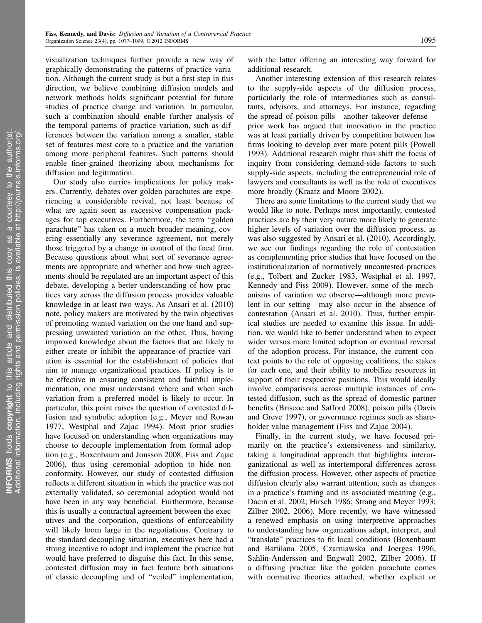visualization techniques further provide a new way of graphically demonstrating the patterns of practice variation. Although the current study is but a first step in this direction, we believe combining diffusion models and network methods holds significant potential for future studies of practice change and variation. In particular, such a combination should enable further analysis of the temporal patterns of practice variation, such as differences between the variation among a smaller, stable set of features most core to a practice and the variation among more peripheral features. Such patterns should enable finer-grained theorizing about mechanisms for diffusion and legitimation.

Our study also carries implications for policy makers. Currently, debates over golden parachutes are experiencing a considerable revival, not least because of what are again seen as excessive compensation packages for top executives. Furthermore, the term "golden parachute" has taken on a much broader meaning, covering essentially any severance agreement, not merely those triggered by a change in control of the focal firm. Because questions about what sort of severance agreements are appropriate and whether and how such agreements should be regulated are an important aspect of this debate, developing a better understanding of how practices vary across the diffusion process provides valuable knowledge in at least two ways. As Ansari et al. (2010) note, policy makers are motivated by the twin objectives of promoting wanted variation on the one hand and suppressing unwanted variation on the other. Thus, having improved knowledge about the factors that are likely to either create or inhibit the appearance of practice variation is essential for the establishment of policies that aim to manage organizational practices. If policy is to be effective in ensuring consistent and faithful implementation, one must understand where and when such variation from a preferred model is likely to occur. In particular, this point raises the question of contested diffusion and symbolic adoption (e.g., Meyer and Rowan 1977, Westphal and Zajac 1994). Most prior studies have focused on understanding when organizations may choose to decouple implementation from formal adoption (e.g., Boxenbaum and Jonsson 2008, Fiss and Zajac 2006), thus using ceremonial adoption to hide nonconformity. However, our study of contested diffusion reflects a different situation in which the practice was not externally validated, so ceremonial adoption would not have been in any way beneficial. Furthermore, because this is usually a contractual agreement between the executives and the corporation, questions of enforceability will likely loom large in the negotiations. Contrary to the standard decoupling situation, executives here had a strong incentive to adopt and implement the practice but would have preferred to disguise this fact. In this sense, contested diffusion may in fact feature both situations of classic decoupling and of "veiled" implementation, with the latter offering an interesting way forward for additional research.

Another interesting extension of this research relates to the supply-side aspects of the diffusion process, particularly the role of intermediaries such as consultants, advisors, and attorneys. For instance, regarding the spread of poison pills—another takeover defense prior work has argued that innovation in the practice was at least partially driven by competition between law firms looking to develop ever more potent pills (Powell 1993). Additional research might thus shift the focus of inquiry from considering demand-side factors to such supply-side aspects, including the entrepreneurial role of lawyers and consultants as well as the role of executives more broadly (Kraatz and Moore 2002).

There are some limitations to the current study that we would like to note. Perhaps most importantly, contested practices are by their very nature more likely to generate higher levels of variation over the diffusion process, as was also suggested by Ansari et al. (2010). Accordingly, we see our findings regarding the role of contestation as complementing prior studies that have focused on the institutionalization of normatively uncontested practices (e.g., Tolbert and Zucker 1983, Westphal et al. 1997, Kennedy and Fiss 2009). However, some of the mechanisms of variation we observe—although more prevalent in our setting—may also occur in the absence of contestation (Ansari et al. 2010). Thus, further empirical studies are needed to examine this issue. In addition, we would like to better understand when to expect wider versus more limited adoption or eventual reversal of the adoption process. For instance, the current context points to the role of opposing coalitions, the stakes for each one, and their ability to mobilize resources in support of their respective positions. This would ideally involve comparisons across multiple instances of contested diffusion, such as the spread of domestic partner benefits (Briscoe and Safford 2008), poison pills (Davis and Greve 1997), or governance regimes such as shareholder value management (Fiss and Zajac 2004).

Finally, in the current study, we have focused primarily on the practice's extensiveness and similarity, taking a longitudinal approach that highlights interorganizational as well as intertemporal differences across the diffusion process. However, other aspects of practice diffusion clearly also warrant attention, such as changes in a practice's framing and its associated meaning (e.g., Dacin et al. 2002; Hirsch 1986; Strang and Meyer 1993; Zilber 2002, 2006). More recently, we have witnessed a renewed emphasis on using interpretive approaches to understanding how organizations adapt, interpret, and "translate" practices to fit local conditions (Boxenbaum and Battilana 2005, Czarniawska and Joerges 1996, Sahlin-Andersson and Engwall 2002, Zilber 2006). If a diffusing practice like the golden parachute comes with normative theories attached, whether explicit or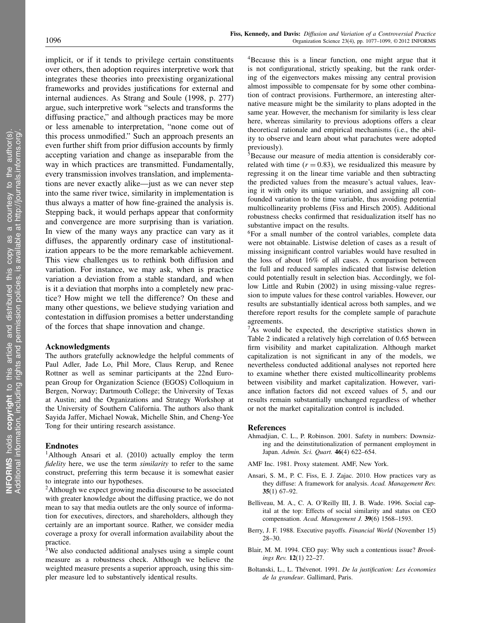implicit, or if it tends to privilege certain constituents over others, then adoption requires interpretive work that integrates these theories into preexisting organizational frameworks and provides justifications for external and internal audiences. As Strang and Soule (1998, p. 277) argue, such interpretive work "selects and transforms the diffusing practice," and although practices may be more or less amenable to interpretation, "none come out of this process unmodified." Such an approach presents an even further shift from prior diffusion accounts by firmly accepting variation and change as inseparable from the way in which practices are transmitted. Fundamentally, every transmission involves translation, and implementations are never exactly alike—just as we can never step into the same river twice, similarity in implementation is thus always a matter of how fine-grained the analysis is. Stepping back, it would perhaps appear that conformity and convergence are more surprising than is variation. In view of the many ways any practice can vary as it diffuses, the apparently ordinary case of institutionalization appears to be the more remarkable achievement. This view challenges us to rethink both diffusion and variation. For instance, we may ask, when is practice variation a deviation from a stable standard, and when is it a deviation that morphs into a completely new practice? How might we tell the difference? On these and many other questions, we believe studying variation and contestation in diffusion promises a better understanding of the forces that shape innovation and change.

### Acknowledgments

The authors gratefully acknowledge the helpful comments of Paul Adler, Jade Lo, Phil More, Claus Rerup, and Renee Rottner as well as seminar participants at the 22nd European Group for Organization Science (EGOS) Colloquium in Bergen, Norway; Dartmouth College; the University of Texas at Austin; and the Organizations and Strategy Workshop at the University of Southern California. The authors also thank Sayida Jaffer, Michael Nowak, Michelle Shin, and Cheng-Yee Tong for their untiring research assistance.

#### Endnotes

<sup>1</sup>Although Ansari et al. (2010) actually employ the term fidelity here, we use the term similarity to refer to the same construct, preferring this term because it is somewhat easier to integrate into our hypotheses.

<sup>2</sup>Although we expect growing media discourse to be associated with greater knowledge about the diffusing practice, we do not mean to say that media outlets are the only source of information for executives, directors, and shareholders, although they certainly are an important source. Rather, we consider media coverage a proxy for overall information availability about the practice.

<sup>3</sup>We also conducted additional analyses using a simple count measure as a robustness check. Although we believe the weighted measure presents a superior approach, using this simpler measure led to substantively identical results.

<sup>4</sup>Because this is a linear function, one might argue that it is not configurational, strictly speaking, but the rank ordering of the eigenvectors makes missing any central provision almost impossible to compensate for by some other combination of contract provisions. Furthermore, an interesting alternative measure might be the similarity to plans adopted in the same year. However, the mechanism for similarity is less clear here, whereas similarity to previous adoptions offers a clear theoretical rationale and empirical mechanisms (i.e., the ability to observe and learn about what parachutes were adopted previously).

<sup>5</sup>Because our measure of media attention is considerably correlated with time  $(r = 0.83)$ , we residualized this measure by regressing it on the linear time variable and then subtracting the predicted values from the measure's actual values, leaving it with only its unique variation, and assigning all confounded variation to the time variable, thus avoiding potential multicollinearity problems (Fiss and Hirsch 2005). Additional robustness checks confirmed that residualization itself has no substantive impact on the results.

<sup>6</sup>For a small number of the control variables, complete data were not obtainable. Listwise deletion of cases as a result of missing insignificant control variables would have resulted in the loss of about 16% of all cases. A comparison between the full and reduced samples indicated that listwise deletion could potentially result in selection bias. Accordingly, we follow Little and Rubin (2002) in using missing-value regression to impute values for these control variables. However, our results are substantially identical across both samples, and we therefore report results for the complete sample of parachute agreements.

<sup>7</sup>As would be expected, the descriptive statistics shown in Table 2 indicated a relatively high correlation of 0.65 between firm visibility and market capitalization. Although market capitalization is not significant in any of the models, we nevertheless conducted additional analyses not reported here to examine whether there existed multicollinearity problems between visibility and market capitalization. However, variance inflation factors did not exceed values of 5, and our results remain substantially unchanged regardless of whether or not the market capitalization control is included.

#### References

- Ahmadjian, C. L., P. Robinson. 2001. Safety in numbers: Downsizing and the deinstitutionalization of permanent employment in Japan. Admin. Sci. Quart. 46(4) 622–654.
- AMF Inc. 1981. Proxy statement. AMF, New York.
- Ansari, S. M., P. C. Fiss, E. J. Zajac. 2010. How practices vary as they diffuse: A framework for analysis. Acad. Management Rev. 35(1) 67–92.
- Belliveau, M. A., C. A. O'Reilly III, J. B. Wade. 1996. Social capital at the top: Effects of social similarity and status on CEO compensation. Acad. Management J. 39(6) 1568–1593.
- Berry, J. F. 1988. Executive payoffs. Financial World (November 15) 28–30.
- Blair, M. M. 1994. CEO pay: Why such a contentious issue? Brookings Rev. 12(1) 22–27.
- Boltanski, L., L. Thévenot. 1991. De la justification: Les économies de la grandeur. Gallimard, Paris.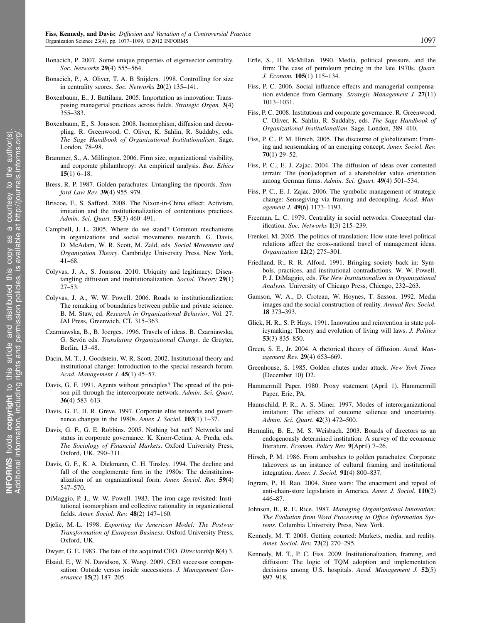- Bonacich, P. 2007. Some unique properties of eigenvector centrality. Soc. Networks 29(4) 555–564.
- Bonacich, P., A. Oliver, T. A. B Snijders. 1998. Controlling for size in centrality scores. Soc. Networks 20(2) 135-141.
- Boxenbaum, E., J. Battilana. 2005. Importation as innovation: Transposing managerial practices across fields. Strategic Organ. 3(4) 355–383.
- Boxenbaum, E., S. Jonsson. 2008. Isomorphism, diffusion and decoupling. R. Greenwood, C. Oliver, K. Sahlin, R. Suddaby, eds. The Sage Handbook of Organizational Institutionalism. Sage, London, 78–98.
- Brammer, S., A. Millington. 2006. Firm size, organizational visibility, and corporate philanthropy: An empirical analysis. Bus. Ethics  $15(1)$  6–18.
- Bress, R. P. 1987. Golden parachutes: Untangling the ripcords. Stanford Law Rev. 39(4) 955–979.
- Briscoe, F., S. Safford. 2008. The Nixon-in-China effect: Activism, imitation and the institutionalization of contentious practices. Admin. Sci. Quart. 53(3) 460–491.
- Campbell, J. L. 2005. Where do we stand? Common mechanisms in organizations and social movements research. G. Davis, D. McAdam, W. R. Scott, M. Zald, eds. Social Movement and Organization Theory. Cambridge University Press, New York, 41–68.
- Colyvas, J. A., S. Jonsson. 2010. Ubiquity and legitimacy: Disentangling diffusion and institutionalization. Sociol. Theory 29(1) 27–53.
- Colyvas, J. A., W. W. Powell. 2006. Roads to institutionalization: The remaking of boundaries between public and private science. B. M. Staw, ed. Research in Organizational Behavior, Vol. 27. JAI Press, Greenwich, CT, 315–363.
- Czarniawska, B., B. Joerges. 1996. Travels of ideas. B. Czarniawska, G. Sevón eds. Translating Organizational Change. de Gruyter, Berlin, 13–48.
- Dacin, M. T., J. Goodstein, W. R. Scott. 2002. Institutional theory and institutional change: Introduction to the special research forum. Acad. Management J. 45(1) 45–57.
- Davis, G. F. 1991. Agents without principles? The spread of the poison pill through the intercorporate network. Admin. Sci. Quart. 36(4) 583–613.
- Davis, G. F., H. R. Greve. 1997. Corporate elite networks and governance changes in the 1980s. Amer. J. Sociol. 103(1) 1-37.
- Davis, G. F., G. E. Robbins. 2005. Nothing but net? Networks and status in corporate governance. K. Knorr-Cetina, A. Preda, eds. The Sociology of Financial Markets. Oxford University Press, Oxford, UK, 290–311.
- Davis, G. F., K. A. Diekmann, C. H. Tinsley. 1994. The decline and fall of the conglomerate firm in the 1980s: The deinstituionalization of an organizational form. Amer. Sociol. Rev. 59(4) 547–570.
- DiMaggio, P. J., W. W. Powell. 1983. The iron cage revisited: Institutional isomorphism and collective rationality in organizational fields. Amer. Sociol. Rev. 48(2) 147–160.
- Djelic, M.-L. 1998. Exporting the American Model: The Postwar Transformation of European Business. Oxford University Press, Oxford, UK.
- Dwyer, G. E. 1983. The fate of the acquired CEO. Directorship 8(4) 3.
- Elsaid, E., W. N. Davidson, X. Wang. 2009. CEO successor compensation: Outside versus inside successions. J. Management Governance 15(2) 187–205.
- Erfle, S., H. McMillan. 1990. Media, political pressure, and the firm: The case of petroleum pricing in the late 1970s. Quart. J. Econom. 105(1) 115–134.
- Fiss, P. C. 2006. Social influence effects and managerial compensation evidence from Germany. Strategic Management J. 27(11) 1013–1031.
- Fiss, P. C. 2008. Institutions and corporate governance. R. Greenwood, C. Oliver, K. Sahlin, R. Suddaby, eds. The Sage Handbook of Organizational Institutionalism. Sage, London, 389–410.
- Fiss, P. C., P. M. Hirsch. 2005. The discourse of globalization: Framing and sensemaking of an emerging concept. Amer. Sociol. Rev.  $70(1)$  29-52.
- Fiss, P. C., E. J. Zajac. 2004. The diffusion of ideas over contested terrain: The (non)adoption of a shareholder value orientation among German firms. Admin. Sci. Quart. 49(4) 501–534.
- Fiss, P. C., E. J. Zajac. 2006. The symbolic management of strategic change: Sensegiving via framing and decoupling. Acad. Management J. 49(6) 1173–1193.
- Freeman, L. C. 1979. Centrality in social networks: Conceptual clarification. Soc. Networks 1(3) 215–239.
- Frenkel, M. 2005. The politics of translation: How state-level political relations affect the cross-national travel of management ideas. Organization 12(2) 275–301.
- Friedland, R., R. R. Alford. 1991. Bringing society back in: Symbols, practices, and institutional contradictions. W. W. Powell, P. J. DiMaggio, eds. The New Institutionalism in Organizational Analysis. University of Chicago Press, Chicago, 232–263.
- Gamson, W. A., D. Croteau, W. Hoynes, T. Sasson. 1992. Media images and the social construction of reality. Annual Rev. Sociol. 18 373–393.
- Glick, H. R., S. P. Hays. 1991. Innovation and reinvention in state policymaking: Theory and evolution of living will laws. J. Politics 53(3) 835–850.
- Green, S. E., Jr. 2004. A rhetorical theory of diffusion. Acad. Management Rev. 29(4) 653–669.
- Greenhouse, S. 1985. Golden chutes under attack. New York Times (December 10) D2.
- Hammermill Paper. 1980. Proxy statement (April 1). Hammermill Paper, Erie, PA.
- Haunschild, P. R., A. S. Miner. 1997. Modes of interorganizational imitation: The effects of outcome salience and uncertainty. Admin. Sci. Quart. 42(3) 472–500.
- Hermalin, B. E., M. S. Weisbach. 2003. Boards of directors as an endogenously determined institution: A survey of the economic literature. Econom. Policy Rev. 9(April) 7–26.
- Hirsch, P. M. 1986. From ambushes to golden parachutes: Corporate takeovers as an instance of cultural framing and institutional integration. Amer. J. Sociol. 91(4) 800–837.
- Ingram, P., H. Rao. 2004. Store wars: The enactment and repeal of anti-chain-store legislation in America. Amer. J. Sociol. 110(2) 446–87.
- Johnson, B., R. E. Rice. 1987. Managing Organizational Innovation: The Evolution from Word Processing to Office Information Systems. Columbia University Press, New York.
- Kennedy, M. T. 2008. Getting counted: Markets, media, and reality. Amer. Sociol. Rev. 73(2) 270–295.
- Kennedy, M. T., P. C. Fiss. 2009. Institutionalization, framing, and diffusion: The logic of TQM adoption and implementation decisions among U.S. hospitals. Acad. Management J. 52(5) 897–918.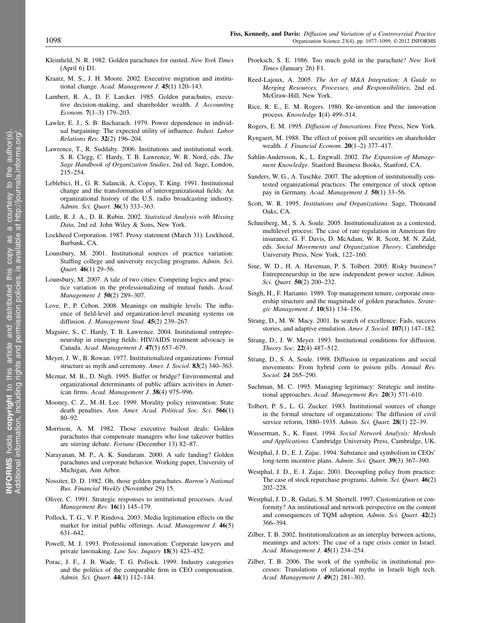- Kleinfield, N. R. 1982. Golden parachutes for ousted. New York Times (April 6) D1.
- Kraatz, M. S., J. H. Moore. 2002. Executive migration and institutional change. Acad. Management J.  $45(1)$  120-143.
- Lambert, R. A., D. F. Larcker. 1985. Golden parachutes, executive decision-making, and shareholder wealth. J. Accounting Econom. 7(1–3) 179–203.
- Lawler, E. J., S. B. Bacharach. 1979. Power dependence in individual bargaining: The expected utility of influence. Indust. Labor Relations Rev. 32(2) 196–204.
- Lawrence, T., R. Suddaby. 2006. Institutions and institutional work. S. R. Clegg, C. Hardy, T. B. Lawrence, W. R. Nord, eds. The Sage Handbook of Organization Studies, 2nd ed. Sage, London, 215–254.
- Leblebici, H., G. R. Salancik, A. Copay, T. King. 1991. Institutional change and the transformation of interorganizational fields: An organizational history of the U.S. radio broadcasting industry. Admin. Sci. Quart. 36(3) 333–363.
- Little, R. J. A., D. B. Rubin. 2002. Statistical Analysis with Missing Data, 2nd ed. John Wiley & Sons, New York.
- Lockheed Corporation. 1987. Proxy statement (March 31). Lockheed, Burbank, CA.
- Lounsbury, M. 2001. Institutional sources of practice variation: Staffing college and university recycling programs. Admin. Sci. Quart. 46(1) 29–56.
- Lounsbury, M. 2007. A tale of two cities: Competing logics and practice variation in the professionalizing of mutual funds. Acad. Management J. 50(2) 289–307.
- Love, P., P. Cebon. 2008. Meanings on multiple levels: The influence of field-level and organization-level meaning systems on diffusion. J. Management Stud. 45(2) 239–267.
- Maguire, S., C. Hardy, T. B. Lawrence. 2004. Institutional entrepreneurship in emerging fields: HIV/AIDS treatment advocacy in Canada. Acad. Management J. 47(5) 657–679.
- Meyer, J. W., B. Rowan. 1977. Institutionalized organizations: Formal structure as myth and ceremony. Amer. J. Sociol. 83(2) 340–363.
- Meznar, M. B., D. Nigh. 1995. Buffer or bridge? Environmental and organizational determinants of public affairs activities in American firms. Acad. Management J. 38(4) 975–996.
- Mooney, C. Z., M.-H. Lee. 1999. Morality policy reinvention: State death penalties. Ann. Amer. Acad. Political Soc. Sci. 566(1) 80–92.
- Morrison, A. M. 1982. Those executive bailout deals: Golden parachutes that compensate managers who lose takeover battles are stirring debate. Fortune (December 13) 82–87.
- Narayanan, M. P., A. K. Sundaram. 2000. A safe landing? Golden parachutes and corporate behavior. Working paper, University of Michigan, Ann Arbor.
- Nossiter, D. D. 1982. Oh, those golden parachutes. Barron's National Bus. Financial Weekly (November 29) 15.
- Oliver, C. 1991. Strategic responses to institutional processes. Acad. Management Rev. 16(1) 145–179.
- Pollock, T. G., V. P. Rindova. 2003. Media legitimation effects on the market for initial public offerings. Acad. Management J. 46(5) 631–642.
- Powell, M. J. 1993. Professional innovation: Corporate lawyers and private lawmaking. Law Soc. Inquiry 18(3) 423–452.
- Porac, J. F., J. B. Wade, T. G. Pollock. 1999. Industry categories and the politics of the comparable firm in CEO compensation. Admin. Sci. Quart. 44(1) 112–144.
- Proeksch, S. E. 1986. Too much gold in the parachute? New York Times (January 26) F1.
- Reed-Lajoux, A. 2005. The Art of M&A Integration: A Guide to Merging Resources, Processes, and Responsibilities, 2nd ed. McGraw-Hill, New York.
- Rice, R. E., E. M. Rogers. 1980. Re-invention and the innovation process. Knowledge 1(4) 499–514.
- Rogers, E. M. 1995. Diffusion of Innovations. Free Press, New York.
- Ryngaert, M. 1988. The effect of poison pill securities on shareholder wealth. J. Financial Econom. 20(1–2) 377–417.
- Sahlin-Andersson, K., L. Engwall. 2002. The Expansion of Management Knowledge. Stanford Business Books, Stanford, CA.
- Sanders, W. G., A. Tuschke. 2007. The adoption of institutionally contested organizational practices: The emergence of stock option pay in Germany. Acad. Management J. 50(1) 33–56.
- Scott, W. R. 1995. Institutions and Organizations. Sage, Thousand Oaks, CA.
- Schneiberg, M., S. A. Soule. 2005. Institutionalization as a contested, multilevel process: The case of rate regulation in American fire insurance. G. F. Davis, D. McAdam, W. R. Scott, M. N. Zald, eds. Social Movements and Organization Theory. Cambridge University Press, New York, 122–160.
- Sine, W. D., H. A. Haveman, P. S. Tolbert. 2005. Risky business? Entrepreneurship in the new independent power sector. Admin. Sci. Quart. 50(2) 200–232.
- Singh, H., F. Harianto. 1989. Top management tenure, corporate ownership structure and the magnitude of golden parachutes. Strategic Management J. 10(S1) 134–156.
- Strang, D., M. W. Macy. 2001. In search of excellence: Fads, success stories, and adaptive emulation. Amer. J. Sociol. 107(1) 147–182.
- Strang, D., J. W. Meyer. 1993. Institutional conditions for diffusion. Theory Soc. 22(4) 487–512.
- Strang, D., S. A. Soule. 1998. Diffusion in organizations and social movements: From hybrid corn to poison pills. Annual Rev. Sociol. 24 265–290.
- Suchman, M. C. 1995. Managing legitimacy: Strategic and institutional approaches. Acad. Management Rev. 20(3) 571–610.
- Tolbert, P. S., L. G. Zucker. 1983. Institutional sources of change in the formal structure of organizations: The diffusion of civil service reform, 1880–1935. Admin. Sci. Quart. **28**(1) 22–39.
- Wasserman, S., K. Faust. 1994. Social Network Analysis: Methods and Applications. Cambridge University Press, Cambridge, UK.
- Westphal, J. D., E. J. Zajac. 1994. Substance and symbolism in CEOs' long-term incentive plans. Admin. Sci. Quart. 39(3) 367-390.
- Westphal, J. D., E. J. Zajac. 2001. Decoupling policy from practice: The case of stock repurchase programs. Admin. Sci. Quart. 46(2) 202–228.
- Westphal, J. D., R. Gulati, S. M. Shortell. 1997. Customization or conformity? An institutional and network perspective on the content and consequences of TQM adoption. Admin. Sci. Quart. 42(2) 366–394.
- Zilber, T. B. 2002. Institutionalization as an interplay between actions, meanings and actors: The case of a rape crisis center in Israel. Acad. Management J. 45(1) 234–254.
- Zilber, T. B. 2006. The work of the symbolic in institutional processes: Translations of relational myths in Israeli high tech. Acad. Management J. 49(2) 281–303.